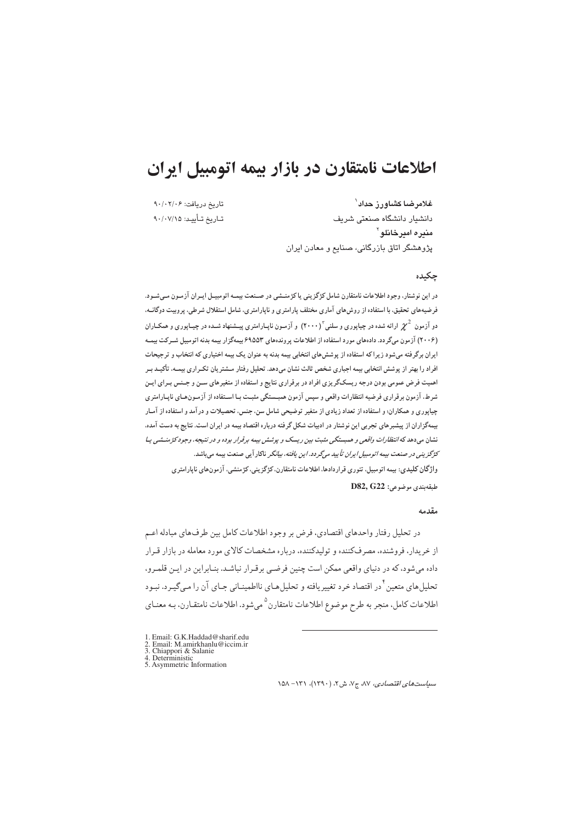# اطلاعات نامتقارن در بازار بيمه اتومبيل ايران

تاريخ دريافت: ٩٠/٠٢/٠٤ تــاريخ تــأييــد: ٩٠/٠٧/١۵

غلامرضا كشاورز حداد<sup>\</sup> دانشیار دانشگاه صنعتی شریف مندر ۾ امير خانلو <sup>۲</sup> پژوهشگر اتاق بازرگانی، صنایع و معادن ایران

### حكىدە

در این نوشتار، وجود اطلاعات نامتقارن شامل کژگزینی یا کژمنشی در صنعت بیمـه اتومبیـل ایـران آزمـون مـیشـود. فرضیههای تحقیق، با استفاده از روشهای آماری مختلف پارامتری و ناپارامتری، شامل استقلال شرطی، پروبیت دوگانــه، دو آزمون  $\chi^2$  ارائه شده در چیاپوری و سلنی $^{\mathrm{v}}$ (۲۰۰۰) و آزمون ناپـارامتری پیـشنهاد شـده در چیـاپوری و همکـاران (۲۰۰۶) آزمون میگردد. دادههای مورد استفاده از اطلاعات پروندههای ۶۹۵۵۳ بیمهگزار بیمه بدنه اتومبیل شـرکت بیمـه ایران برگرفته میشود زیراکه استفاده از پوشش های انتخابی بیمه بدنه به عنوان یک بیمه اختیاری که انتخاب و ترجیحات افراد را بهتر از پوشش انتخابی بیمه اجباری شخص ثالث نشان میدهد. تحلیل رفتار مــشتریان تکـراری بیمــه، تأکیــد بـر اهمیت فرض عمومی بودن درجه ریسکگریزی افراد در برقراری نتایج و استفاده از متغیرهای سـن و جـنس بـرای ایـن شرط، آزمون برقراری فرضیه انتظارات واقعی و سپس آزمون همبـستگی مثبـت بـا اسـتفاده از آزمـونهـای ناپـارامتری چیاپوری و همکاران؛ و استفاده از تعداد زیادی از متغیر توضیحی شامل سن، جنس، تحصیلات و در آمد و استفاده از آمـار بیمهگزاران از پیشبرهای تجربی این نوشتار در ادبیات شکل گرفته درباره اقتصاد بیمه در ایران است. نتایج به دست آمده، نشان میدهد که *انتظارات واقعی و همبستگی مثبت بین ریسک و پوشش بیمه برقرار بوده و در نتیجه، وجود کژمنــشی یـا* کژگزین*ی در صنعت بیمه اتومبیل ایران تأیید میگردد. این یافته، بیانگر* ناکار آیی صنعت بیمه میباشد. واژگان كليدي: بيمه اتومبيل، تئوري قراردادها، اطلاعات نامتقارن، كژگزيني، كژمنشي، آزمونهاي ناپارامتري طبقەبندى موضوعى: D82, G22

#### مقدمه

در تحليل رفتار واحدهاي اقتصادي، فرض بر وجود اطلاعات كامل بين طرفهاي مبادله اعـم از خریدار، فروشنده، مصرفکننده و تولیدکننده، درباره مشخصات کالای مورد معامله در بازار قـرار داده می شود، که در دنیای واقعی ممکن است چنین فرضی برقـرار نباشـد. بنـابراین در ایـن قلمـرو، تحلیل های متعین <sup>۶</sup> در اقتصاد خرد تغییریافته و تحلیل *ه*ـای نااطمینــانی جـای آن را مـی&یـرد. نبـود اطلاعات كامل، منجر به طرح موضوع اطلاعات نامتقارن<sup>0</sup>مي شود. اطلاعات نامتقـارن، بـه معنـاي

- 1. Email: G.K.Haddad@sharif.edu<br>2. Email: M.amirkhanlu@iccim.ir
- 
- 
- 2. Eman. M. annual manuele<br>
3. Chiappori & Salanie<br>
4. Deterministic<br>
5. Asymmetric Information

سياست هاي اقتصادي، ٨٧، ج٧، ش ٢، (١٣٩٠)، ١٣١- ١٥٨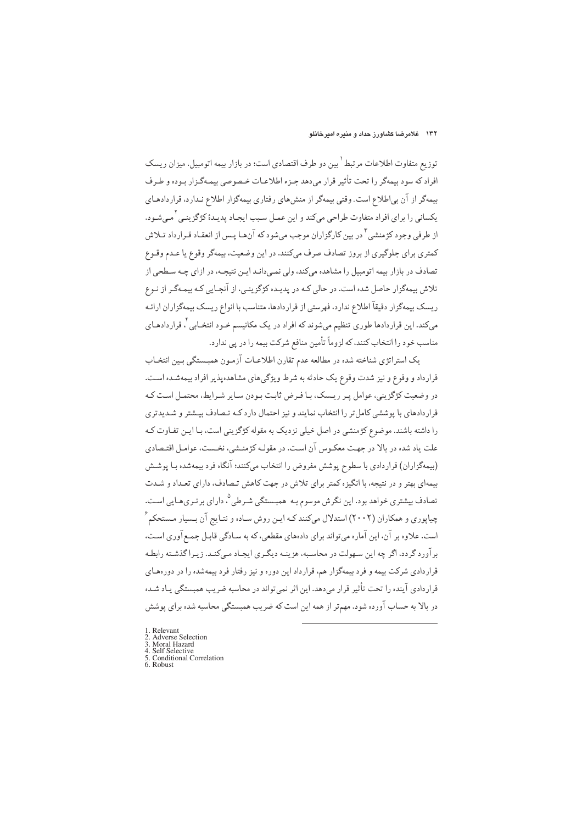توزیع متفاوت اطلاعات مرتبط <sup>۱</sup> بین دو طرف اقتصادی است؛ در بازار بیمه اتومبیل، میزان ریسک افراد که سود بیمهگر را تحت تأثیر قرار می دهد جـزء اطلاعـات خـصوصی بیمـهگـزار بـوده و طـرف بیمهگر از آن بی|طلاع است. وقتی بیمهگر از منش های رفتاری بیمهگزار اطلاع نـدارد، قراردادهـای يکساني را براي افراد متفاوت طراحي ميکند و اين عمـل سـبب ايجـاد پديـدۀ کژگزينـي ٰ مـيشـود. از طرفی وجود کژمنشی آ در بین کارگزاران موجب میشود که آنهـا پـس از انعقـاد قـرارداد تـلاش کمتري براي جلوگيري از بروز تصادف صرف مي کنند. در اين وضعيت، بيمهگر وقوع يا عـدم وقـوع تصادف در بازار بیمه اتومبیل را مشاهده میکند، ولی نمـی،دانـد ایـن نتیجـه، در ازای چـه سـطحی از تلاش بیمهگزار حاصل شده است. در حالی کـه در پدیـده کژگزینـی، از آنجـایی کـه بیمـهگـر از نـوع ریسک بیمهگزار دقیقاً اطلاع ندارد، فهرستی از قراردادها، متناسب با انواع ریسک بیمهگزاران ارائـه میکند. این قراردادها طوری تنظیم میشوند که افراد در یک مکانیسم *خـ*ود انتخـابی <sup>۶</sup> قراردادهـای مناسب خود را انتخاب كنند، كه لزوماً تأمين منافع شركت بيمه را در يي ندارد.

یک استراتژی شناخته شده در مطالعه عدم تقارن اطلاعـات آزمـون همبـستگي بـين انتخـاب قرارداد و وقوع و نیز شدت وقوع یک حادثه به شرط ویژگیهای مشاهدهپذیر افراد بیمهشـده اسـت. در وضعیت کژگزینی، عوامل پـر ریـسک، بـا فـرض ثابـت بـودن سـایر شـرایط، محتمـل اسـت کـه قرار دادهای با پوششی کامل تر را انتخاب نمایند و نیز احتمال دارد کـه تـصادف بــشتر و شـدیدتری را داشته باشند. موضوع کژمنشی در اصل خیلی نزدیک به مقوله کژگزینی است، بـا ایـن تفـاوت کـه علت یاد شده در بالا در جهت معکوس آن است. در مقولـه کژمنـشی، نخـست، عوامـل اقتـصادی (بیمهگزاران) قراردادی با سطوح یوشش مفروض را انتخاب می کنند؛ آنگاه فرد بیمهشده بـا پوشـش بیمهای بهتر و در نتیجه، با انگیزه کمتر برای تلاش در جهت کاهش تـصادف، دارای تعـداد و شـدت تصادف بیشتری خواهد بود. این نگرش موسوم بـه همبـستگی شـرطی °، دارای برتـریهـایی اسـت. چیاپوری و همکاران (۲۰۰۲) استدلال میکنند کـه ایـن روش سـاده و نتـایج آن بـسیار مـستحکم ً است. علاوه بر آن، این آماره می تواند برای دادههای مقطعی، که به سـادگی قابـل جمـع[وری اسـت، برآورد گردد، اگر چه این سهولت در محاسبه، هزینـه دیگـری ایجـاد مـیکنـد. زیـراگذشـته رابطـه قراردادی شرکت بیمه و فرد بیمهگزار هم، قرارداد این دوره و نیز رفتار فرد بیمهشده را در دورههای قراردادی آینده را تحت تأثیر قرار میدهد. این اثر نمیتواند در محاسبه ضریب همبستگی یـاد شـده در بالا به حساب آورده شود. مهمتر از همه این است که ضریب همبستگی محاسبه شده برای پوشش

- $1$  Relevant
- 2. Adverse Selection<br>3. Moral Hazard
- 
- Self Selective<br>Self Selective<br>Conditional Correlation  $rac{4}{5}$
- 6. Robust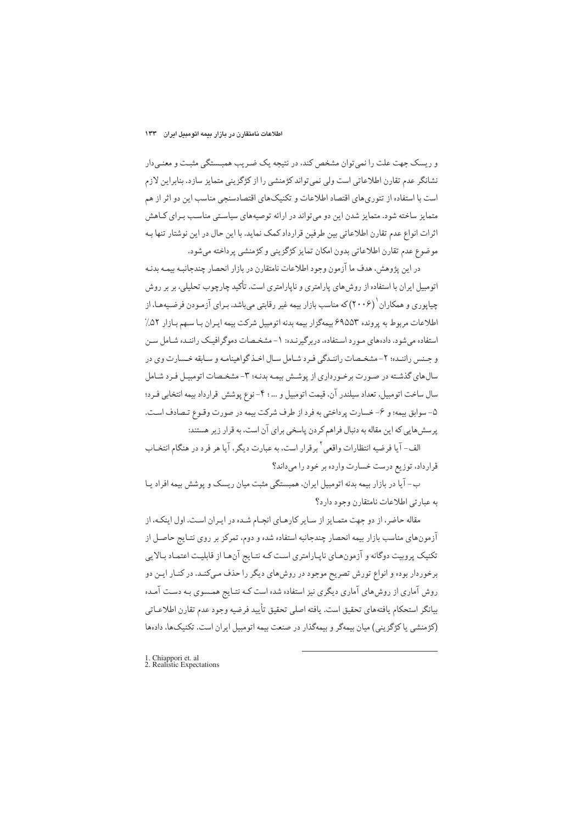و ریسک جهت علت را نمی توان مشخص کند، در نتیجه یک ضـریب همبـستگی مثبـت و معنـیدار نشانگر عدم تقارن اطلاعاتی است ولی نمی تواند کژمنشی را از کژگزینی متمایز سازد. بنابراین لازم است با استفاده از تئوري هاي اقتصاد اطلاعات و تكنيك هاي اقتصادسنجي مناسب اين دو اثر از هم متمایز ساخته شود. متمایز شدن این دو می تواند در ارائه توصیههای سیاستی مناسب برای کاهش اثرات انواع عدم تقارن اطلاعاتي بين طرفين قرارداد كمك نمايد. با اين حال در اين نوشتار تنها بـه موضوع عدم تقارن اطلاعاتي بدون امكان تمايز كژگزيني وكژمنشي پرداخته مي شود.

در اين پژوهش، هدف ما آزمون وجود اطلاعات نامتقارن در بازار انحصار چندجانبه بيمـه بدنـه اتومبیل ایران با استفاده از روش های پارامتری و ناپارامتری است. تأکید چارچوب تحلیلی، بر بر روش چیاپوری و همکاران ۲۰۰۶) که مناسب بازار بیمه غیر رقابتی میباشد. بـرای آزمـودن فرضـیههـا، از اطلاعات مربوط به پرونده ۶۹۵۵۳ بیمهگزار بیمه بدنه اتومبیل شرکت بیمه ایـران بـا سـهم بـازار ۵۲٪ استفاده می شود. دادههای مـورد اسـتفاده، دربرگیرنـده: ۱- مشخـصات دموگرافیـک راننـده شـامل سـن و جـنس راننـده؛ ٢- مشخـصات راننـدگي فـرد شـامل سـال اخـذ گواهينامـه و سـابقه خـسارت وي در سال های گذشته در صورت برخورداری از پوشش بیمه بدنـه؛ ۳- مشخـصات اتومبیـل فـرد شـامل سال ساخت اتومبیل، تعداد سیلندر آن، قیمت اتومبیل و ... ؛ ۴- نوع پوشش قرارداد بیمه انتخابی فـرد؛ ۵- سوابق بیمه؛ و ۶- خسارت پرداختی به فرد از طرف شرکت بیمه در صورت وقـوع تـصادف اسـت. پرسشهایی که این مقاله به دنبال فراهم کردن پاسخی برای آن است، به قرار زیر هستند:

الف- آيا فرضيه انتظارات واقعي <sup>٢</sup> برقرار است، به عبارت ديگر، آيا هر فرد در هنگام انتخـاب قرارداد، توزیع درست خسارت وارده بر خود را میداند؟

ب- آیا در بازار بیمه بدنه اتومبیل ایران، همبستگی مثبت میان ریسک و پوشش بیمه افراد پـا به عبارتي اطلاعات نامتقارن وجود دارد؟

مقاله حاضر، از دو جهت متمـایز از سـایر کارهـای انجـام شـده در ایـران است. اول اینکـه، از آزمونهای مناسب بازار بیمه انحصار چندجانبه استفاده شده و دوم، تمرکز بر روی نتـایج حاصـل از تکنیک پروبیت دوگانه و آزمونهای ناپارامتری است کـه نتـایج آنهـا از قابلیـت اعتمـاد بـالایی برخوردار بوده و انواع تورش تصریح موجود در روش های دیگر را حذف مـیکنـد. در کنـار ایـن دو روش آماری از روش،های آماری دیگری نیز استفاده شده است کـه نتـایج همـسوی بـه دسـت آمـده بيانگر استحكام يافتههاي تحقيق است. يافته اصلي تحقيق تأييد فرضيه وجود عدم تقارن اطلاعـاتي (کژمنشی یا کژگزینی) میان بیمهگر و بیمهگذار در صنعت بیمه اتومبیل ایران است. تکنیکها، دادهها

1. Chiappori et. al<br>2. Realistic Expectations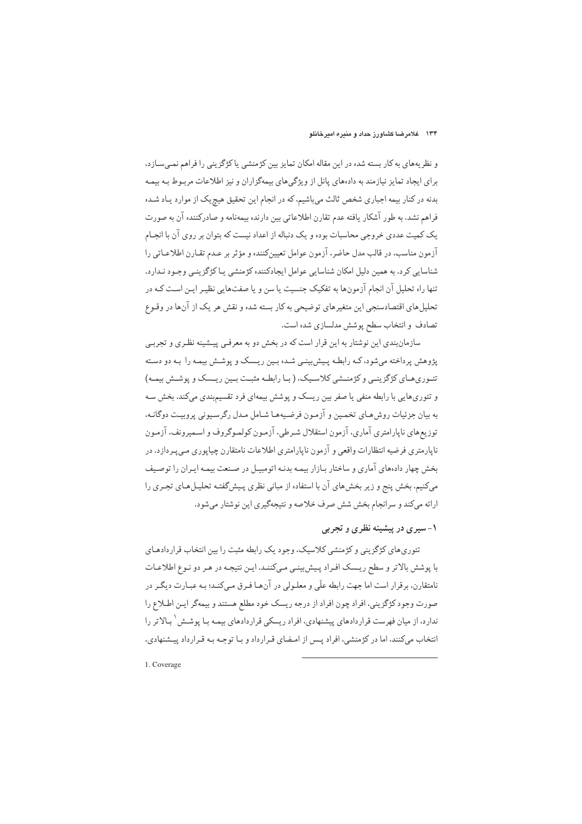و نظریههای به کار بسته شده در این مقاله امکان تمایز بین کژمنشی یا کژگزینی را فراهم نمـیسـازد، برای ایجاد تمایز نیازمند به دادههای پانل از ویژگیهای بیمهگزاران و نیز اطلاعات مربوط بـه بیمـه بدنه در کنار بیمه اجباری شخص ثالث میباشیم، که در انجام این تحقیق هیچ یک از موارد پـاد شـده فراهم نشد. به طور آشکار یافته عدم تقارن اطلاعاتی بین دارنده بیمهنامه و صادرکننده آن به صورت یک کمیت عددی خروجی محاسبات بوده و یک دنباله از اعداد نیست که بتوان بر روی آن با انجـام آزمون مناسب، در قالب مدل حاضر، آزمون عوامل تعیینکننده و مؤثر بر عـدم تقـارن اطلاعـاتی را شناسايي كرد. به همين دليل امكان شناسايي عوامل ايجادكننده كژمنشي يـا كژگزينـي وجـود نـدارد. تنها راه تحلیل آن انجام آزمونها به تفکیک جنسیت یا سن و یا صفتهایی نظیـر ایـن اسـت کـه در تحلیل های اقتصادسنجی این متغیرهای توضیحی به کار بسته شده و نقش هر یک از آنها در وقـوع تصادف و انتخاب سطح پوشش مدلسازی شده است.

سازمانبندي اين نوشتار به اين قرار است كه در بخش دو به معرفـي پيـشينه نظـري و تجربـي یژوهش پرداخته می شود، کـه رابطـه پـیش بینـی شـده بـین ریـسک و پوشـش بیمـه را بـه دو دسـته تئـوري،هـاي كژگزينـي و كژمنـشي كلاسـيک، (بـا رابطـه مثبـت بـين ريـسک و پوشـش بيمـه) و تئوریهایی با رابطه منفی یا صفر بین ریسک و پوشش بیمهای فرد تقسیمبندی میکند. بخش سه به بیان جزئیات روش هیای تخصین و آزمون فرضیهها شیامل میدل رگرسیونی پرویت دوگانیه، توزیعهای ناپارامتری آماری، آزمون استقلال شرطی، آزمون کولموگروف و اسمیرونف، آزمون ناپارمتري فرضيه انتظارات واقعي و آزمون ناپارامتري اطلاعات نامتقارن چياپوري مـي پـردازد. در بخش چهار دادههای آماری و ساختار بازار بیمه بدنـه اتومبیـل در صـنعت بیمـه ایـران را توصـیف میکنیم. بخش پنج و زیر بخش های آن با استفاده از مبانی نظری پیشگفتـه تحلیـل هـای تجـری را ارائه میکند و سرانجام بخش شش صرف خلاصه و نتیجهگیری این نوشتار میشود.

۱- سیری در پیشینه نظری و تجربی

تئوري هاي كژگزيني و كژمنشي كلاسيك، وجود يك رابطه مثبت را بين انتخاب قراردادهـاي با پوشش بالاتر و سطح ریسک افراد پیش بینبی میکنند. این نتیجه در هر دو نوع اطلاعات نامتقارن، برقرار است اما جهت رابطه علّی و معلـولی در آنهـا فـرق مـی کنـد؛ بـه عبـارت دیگـر در صورت وجود كژگزيني، افراد چون افراد از درجه ريسك خود مطلع هستند و بيمهگر ايـن اطـلاع را ندارد، از میان فهرست قراردادهای پیشنهادی، افراد ریسکی قراردادهای بیمـه بـا پوشـش <sup>۱</sup> بـالاتر را انتخاب می کنند، اما در کژمنشی، افراد پـس از امـضای قـرارداد و بـا توجـه بـه قـرارداد پيـشنهادی،

1. Coverage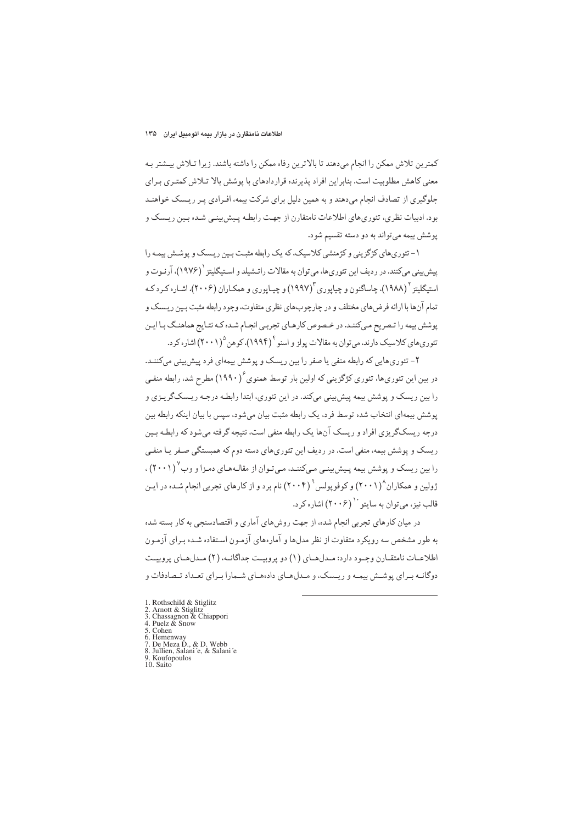كمترين تلاش ممكن را انجام مىدهند تا بالاترين رفاه ممكن را داشته باشند. زيرا تـلاش بيـشتر بـه معنی کاهش مطلوبیت است. بنابراین افراد پذیرنده قراردادهای با پوشش بالا تـلاش کمتـری بـرای جلوگیری از تصادف انجام می دهند و به همین دلیل برای شرکت بیمه، افـرادی پـر ریـسک خواهنـد بود. ادبیات نظری، تئوریهای اطلاعات نامتقارن از جهت رابطه پـیش بینـی شـده بـین ریـسک و يوشش بيمه مي تواند به دو دسته تقسيم شود.

۱- تئوری های کژگزینی و کژمنشی کلاسیک، که یک رابطه مثبت پین ریسک و پوشش پیمه را پیش بینی میکنند. در ردیف این تئوریها، میتوان به مقالات راتـشیلد و اسـتیگلیتز <sup>۱</sup> (۱۹۷۶)، آرنـوت و استیگلیټز <sup>۱</sup> (۱۹۸۸)، چاساگنون و چیاپوري ۱۹۹۷) و چیاپوري و همکیاران (۲۰۰۶)، اشیاره کېرد که تمام آنها با ارائه فرض های مختلف و در چارچوبهای نظری متفاوت، وجود رابطه مثبت بـین ریـسک و پوشش بیمه را تـصریح مـی)کننـد. در خـصوص کارهـای تجربـی انجـام شـده کـه نتـایج هماهنـگ بـا ایـن تئوري هاي کلاسيک دارند، مي توان به مقالات يولز و اسنو <sup>۴</sup> (۱۹۹۴)، کوهن ۲۰۰۱) اشاره کر د.

۲- تئوری هایی که رابطه منفی یا صفر را بین ریسک و یوشش بیمهای فرد پیش بینی میکننـد. در بین این تئوریها، تئوری کژگزینی که اولین بار توسط همنوی ٔ (۱۹۹۰) مطرح شد، رابطه منفـی را بین ریسک و پوشش بیمه پیش بینی میکند. در این تئوری، ابتدا رابطـه درجـه ریـسکگریـزی و یوشش بیمهای انتخاب شده توسط فرد، یک رابطه مثبت بیان میشود، سپس با بیان اینکه رابطه بین درجه ریسکگریزی افراد و ریسک آنها یک رابطه منفی است، نتیجه گرفته می شود که رابطـه بـین ریسک و پوشش بیمه، منفی است. در ردیف این تئوریهای دسته دوم که همبستگی صـفر یـا منفـی را بین ریسک و پوشش بیمه پـیش،پینـی مـیکننـد، مـیتـوان از مقالـههـای دمـزا و وب (۲۰۰۱) ، ژولین و همکاران^(۲۰۰۱) و کوفو پولس °(۲۰۰۴) نام برد و از کارهای تجربی انجام شده در ایـن قالب نيز، مي توان به سايتو `` (٢٠٠۶) اشاره كر د.

در میان کارهای تجربی انجام شده، از جهت روش های آماری و اقتصادسنجی به کار بسته شده به طور مشخص سه رویکرد متفاوت از نظر مدلها و آمارههای آزمـون اسـتفاده شـده بـرای آزمـون اطلاعـات نامتقـارن وجـود دارد: مـدلهـاي (١) دو پروبيـت جداگانـه، (٢) مـدلهـاي پروبيـت دوگانـه بـراي پوشـش بيمـه و ريـسک، و مـدلهـاي دادههـاي شـمارا بـراي تعـداد تـصادفات و

- 1. Rothschild & Stiglitz<br>2. Arnott & Stiglitz
- 3. Chassagnon & Chiappori<br>4. Puelz & Snow<br>5. Cohen
- 
- 
- 
- 5. Conen<br>6. Hemenway<br>7. De Meza D., & D. Webb<br>8. Jullien, Salani´e, & Salani´e<br>9. Koufopoulos<br>10. Saito
- 
-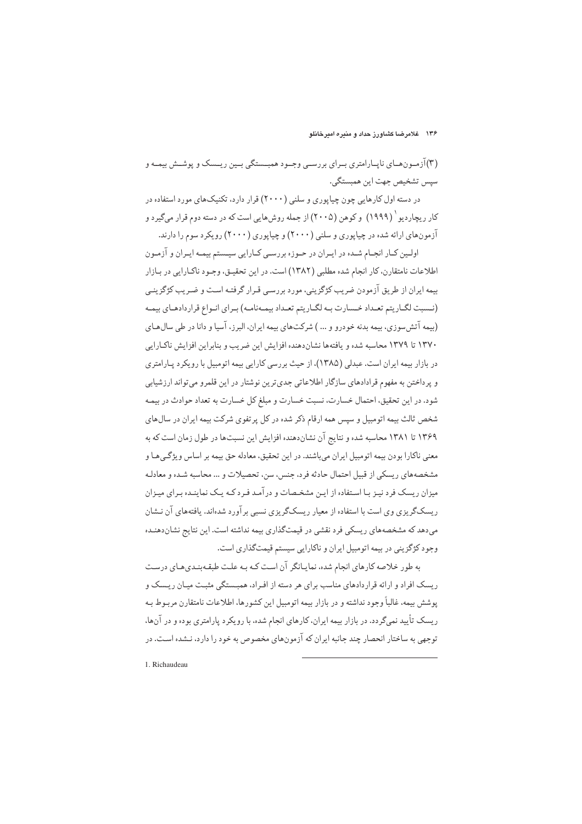(۳)آزمون هـاي ناپـارامتري بـراي بررسـي وجـود همبـستگي بـين ريـسک و پوشـش بيمـه و سيس تشخيص جهت اين همبستگي.

در دسته اول کارهایی چون چیاپوری و سلنی (۲۰۰۰) قرار دارد، تکنیکهای مورد استفاده در کار ریچاردیو <sup>(</sup> (۱۹۹۹) و کوهن (۲۰۰۵) از جمله روشهایی است که در دسته دوم قرار میگیرد و آزمونهای ارائه شده در چیاپوری و سلنی (۲۰۰۰) و چیاپوری (۲۰۰۰) رویکرد سوم را دارند.

اولین کیار انجبام شیده در ایبران در حیوزه بررسبی کیارایی سیستم بیمیه ایبران و آزمیون اطلاعات نامتقارن، كار انجام شده مطلبي (١٣٨٢) است. در اين تحقيـق، وجـود ناكـارايي در بـازار بیمه ایران از طریق آزمودن ضریب کژگزینی، مورد بررسبی قـرار گرفتـه اسـت و ضـریب کژگزینـی (نـسبت لگـاريتم تعـداد خـسارت بـه لگـاريتم تعـداد بيمـهنامـه) بـراي انـواع قراردادهـاي بيمـه (بیمه آتش سوزی، بیمه بدنه خودرو و … ) شرکتهای بیمه ایران، البرز، آسیا و دانا در طی سالهای ١٣٧٠ تا ١٣٧٩ محاسبه شده و يافتهها نشان دهنده افزايش اين ضريب و بنابراين افزايش ناكبارايي در بازار بیمه ایران است. عبدلی (۱۳۸۵)، از حیث بررسی کارایی بیمه اتومبیل با رویکرد پـارامتری و پرداختن به مفهوم قرادادهای سازگار اطلاعاتی جدی ترین نوشتار در این قلمرو می تواند ارزشیابی شود. در این تحقیق، احتمال خسارت، نسبت خسارت و مبلغ کل خسارت به تعداد حوادث در بیمه شخص ثالث بیمه اتومبیل و سپس همه ارقام ذکر شده در کل پرتفوی شرکت بیمه ایران در سال های ۱۳۶۹ تا ۱۳۸۱ محاسبه شده و نتایج آن نشاندهنده افزایش این نسبتها در طول زمان است که به معني ناكارا بودن بيمه اتومبيل ايران ميباشند. در اين تحقيق، معادله حق بيمه بر اساس ويژگي هـا و مشخصههای ریسکی از قبیل احتمال حادثه فرد، جنس، سن، تحصیلات و … محاسبه شـده و معادلـه میزان ریسک فرد نیـز بـا اسـتفاده از ایـن مشخـصات و در آمـد فـرد کـه یـک نماینـده بـرای میـزان ریسکگریزی وی است با استفاده از معیار ریسکگریزی نسبی بر آورد شدهاند. یافتههای آن نـشان میدهد که مشخصههای ریسکی فرد نقشی در قیمتگذاری بیمه نداشته است. این نتایج نشاندهنـده وجود کژگزینی در بیمه اتومبیل ایران و ناکارایی سیستم قیمتگذاری است.

به طور خلاصه کارهای انجام شده، نمایانگر آن است کـه بـه علـت طبقـهبنـدیهـای درست ر بسک افراد و ارائه قرار دادهای مناسب برای هر دسته از افیراد، همیستگی مثبت میان ریسک و پوشش بیمه، غالباً وجود نداشته و در بازار بیمه اتومبیل این کشورها، اطلاعات نامتقارن مربـوط بـه ریسک تأیید نمی گردد. در بازار بیمه ایران، کارهای انجام شده، با رویکرد پارامتری بوده و در آنها، توجهی به ساختار انحصار چند جانبه ایران که آزمونهای مخصوص به خود را دارد، نـشده اسـت. در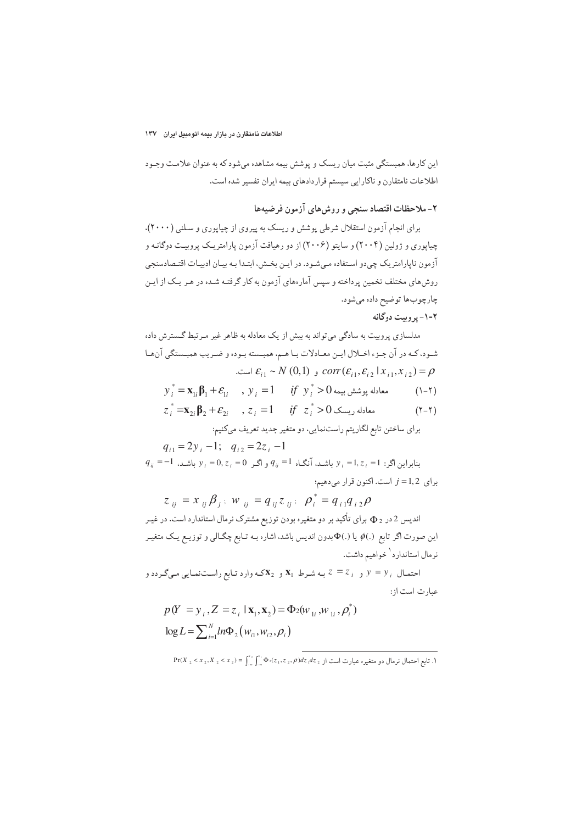این کارها، همبستگی مثبت میان ریسک و پوشش بیمه مشاهده می شود که به عنوان علامت وجـود اطلاعات نامتقارن و ناكارايي سيستم قراردادهاي بيمه ايران تفسير شده است.

۲- ملاحظات اقتصاد سنجی و روش های آزمون فرضیهها

برای انجام آزمون استقلال شرطی پوشش و ریسک به پیروی از چیاپوری و سلنی (۲۰۰۰)، چیاپوری و ژولین (۲۰۰۴) و سایتو (۲۰۰۶) از دو رهیافت آزمون یارامتریک پروبیت دوگانه و آزمون ناپارامتریک چیدو استفاده میشود. در این بخش، ابتـدا بـه بیـان ادبیـات اقتـصادسنجی روش۵های مختلف تخمین پرداخته و سپس آمارههای آزمون به کار گرفتـه شـده در هـر یـک از ایـن چارچوبها توضيح داده ميشود.

۲-۱- پر وییت دوگانه

مدلسازی پروبیت به سادگی میتواند به بیش از یک معادله به ظاهر غیر مـرتبط گـسترش داده شـود، كـه در آن جـزء اخــلال ايــن معــادلات بــا هــم، همبــسته بـوده و ضـريب همبــستگي آنهــا  $\mathcal{E}_{i1} \sim N(0,1)$  و  $corr(\mathcal{E}_{i1}, \mathcal{E}_{i2} | x_{i1}, x_{i2}) = \rho$ 

- $y_i^* = \mathbf{x}_{1i} \mathbf{\beta}_1 + \mathbf{\varepsilon}_{1i}$  ,  $y_i = 1$  if  $y_i^* > 0$  معادله یوشش بیمه  $(\lambda - \tau)$
- $z_i^* = \mathbf{x}_{2i} \mathbf{\beta}_2 + \mathbf{\varepsilon}_{2i}$  ,  $z_i = 1$  if  $z_i^* > 0$  ,  $z_i \geq 0$  $(7 - 7)$ براي ساختن تابع لگاريتم راستنمايي، دو متغير جديد تعريف ميكنيم:

 $q_{i1} = 2y_i - 1$ ;  $q_{i2} = 2z_i - 1$  $q_{ij} = -1$  بنابراین اگر: 1=  $z_i = 1$  باشد، آنگاه  $q_{ij} = 1$  و اگر  $z_i = 0$  ,  $z_i = 0$  باشد،  $y_i = 1$ برای 1,2= 1 است. اکنون قرار میدهیم؛

 $z_{ii} = x_{ii} \beta_{i}$ ;  $w_{ii} = q_{ii} z_{ii}$ ;  $\rho_i^* = q_{i1} q_{i2} \rho$ اندیس 2 در چ $\Phi$  برای تأکید بر دو متغیره بودن توزیع مشترک نرمال استاندارد است. در غیـر این صورت اگر تابع (.) $\phi$  یا (.) $\Phi$ بدون اندیس باشد، اشاره بـه تـابع چگـالی و توزیـع یـک متغیـر نر مال استاندار د<sup>۱</sup> خواهیم داشت.

احتمال  $y = y_i$  و  $z = z_i$  به شرط  $\mathbf{x}_1$  و  $\mathbf{x}_2$ که وارد تابع راستنمایی میگردد و عبارت است از:

$$
p(Y = y_i, Z = z_i | \mathbf{x}_1, \mathbf{x}_2) = \Phi_2(w_{1i}, w_{1i}, \rho_i)
$$
  

$$
\log L = \sum_{i=1}^{N} ln \Phi_2(w_{i1}, w_{i2}, \rho_i)
$$

 $Pr(X_2 \leq x_2, X_2 \leq x_2) = \int_{0}^{x_2} \int_{0}^{x_1} \Phi_2(z_1, z_2, \rho) dz_1 dz_2$  . تابع احتمال نرمال دو متغیر و عبارت است از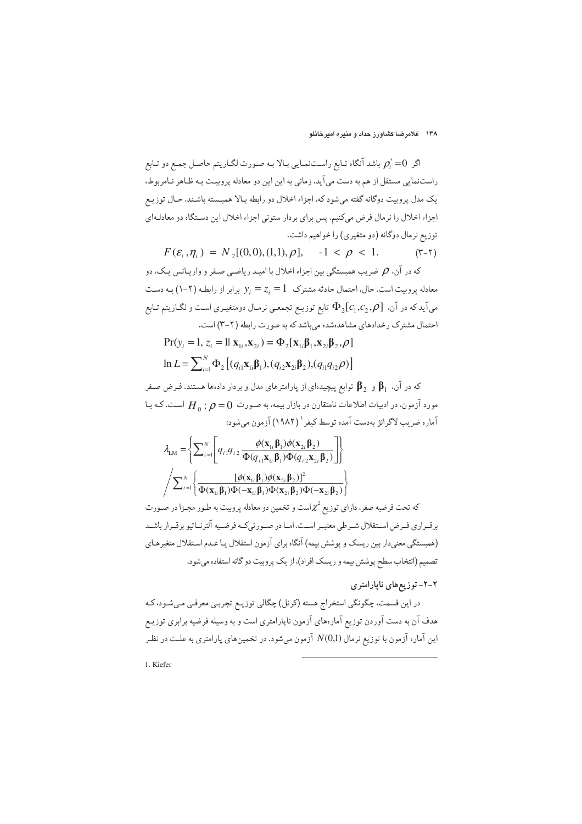اگر  $\rho_i^*=0$  باشد آنگاه تـابع راسـتنمـايي بـالا بـه صـورت لگـاريتم حاصـل جمـع دو تـابع راستنمایی مستقل از هم به دست می آید. زمانی به این این دو معادله پروبیت بـه ظـاهر نـامربوط. يک مدل پروبيت دوگانه گفته مي شود که، اجزاء اخلال دو رابطه بـالا همبـسته باشـند. حـال توزيـع اجزاء اخلال را نرمال فرض میکنیم. پس برای بردار ستونی اجزاء اخلال این دستگاه دو معادلهای توزیع نرمال دوگانه (دو متغیری) را خواهیم داشت.

 $F(\varepsilon_i, \eta_i) = N_2[(0,0), (1,1), \rho], -1 < \rho < 1.$  $(Y-Y)$ که در آن.  $\rho$  ضریب همبستگی بین اجزاء اخلال با امیـد ریاضـی صـفر و واریـانس یـک، دو

معادله پروبیت است. حال، احتمال حادثه مشترک  $z_i = 1$  بر برابر از رابطه (۲-۱) به دست می آید که در آن،  $\Phi_{2}[c_{1},c_{2},\rho]$  تابع توزیـع تجمعـی نرمـال دومتغیـری اسـت و لگـاریتم تـابع احتمال مشترک رخدادهای مشاهدهشده می باشد که به صورت رابطه (۲-۳) است.

 $Pr(y_i = 1, z_i = 1 | \mathbf{X}_{1i}, \mathbf{X}_{2i}) = \Phi_2[\mathbf{X}_{1i} \boldsymbol{\beta}_1, \mathbf{X}_{2i} \boldsymbol{\beta}_2, \rho]$  $\ln L = \sum_{i=1}^{N} \Phi_2 [(q_{i1} \mathbf{x}_{1i} \mathbf{\beta}_1), (q_{i2} \mathbf{x}_{2i} \mathbf{\beta}_2), (q_{i1} q_{i2} \rho)]$ 

که در آن.  $\,\boldsymbol{\beta}_{1}\,$  و  $\,\boldsymbol{\beta}_{2}\,$  توابع پیچیدهای از پارامترهای مدل و بردار دادهها هستند. فـرض صـفر مورد آزمون، در ادبیات اطلاعات نامتقارن در بازار بیمه، به صورت  $\theta=0$  :  $H_{\rm o}$  است، کـه بـا آماره ضرب لاگرانژ بهدست آمده توسط کیفر ` (۱۹۸۲) آزمون می شود:

$$
\lambda_{LM} = \left\{ \sum_{i=1}^{N} \left[ q_{i1} q_{i2} \frac{\phi(\mathbf{x}_{1i} \boldsymbol{\beta}_{1}) \phi(\mathbf{x}_{2i} \boldsymbol{\beta}_{2})}{\Phi(q_{i1} \mathbf{x}_{1i} \boldsymbol{\beta}_{1}) \Phi(q_{i2} \mathbf{x}_{2i} \boldsymbol{\beta}_{2})} \right] \right\}
$$
\n
$$
\sqrt{\sum_{i=1}^{N} \left\{ \frac{\left[ \phi(\mathbf{x}_{1i} \boldsymbol{\beta}_{1}) \phi(\mathbf{x}_{2i} \boldsymbol{\beta}_{2}) \right]^{2}}{\Phi(\mathbf{x}_{1i} \boldsymbol{\beta}_{1}) \Phi(-\mathbf{x}_{1i} \boldsymbol{\beta}_{1}) \Phi(\mathbf{x}_{2i} \boldsymbol{\beta}_{2}) \Phi(-\mathbf{x}_{2i} \boldsymbol{\beta}_{2})} \right\}}
$$

که تحت فرضیه صفر، دارای توزیع  $\mathcal{X}^{2}$ است و تخمین دو معادله پروبیت به طـور مجـزا در صـورت برقـراري فـرض اسـتقلال شـرطي معتبـر اسـت. امـا در صـورتيكـه فرضـيه آلترنـاتيو برقـرار باشـد (همبستگی معنیدار بین ریسک و پوشش بیمه) آنگاه برای آزمون استقلال یا عـدم اسـتقلال متغیرهـای تصمیم (انتخاب سطح پوشش بیمه و ریسک افراد)، از یک پروبیت دو گانه استفاده میشود.

### ۲-۲- توزیعهای ناپارامتری

در این قسمت، چگونگی استخراج هسته (کرنل) چگالی توزیـع تجربـی معرفـی مـیشـود، کـه هدف آن به دست آوردن توزیع آمارههای آزمون ناپارامتری است و به وسیله فرضیه برابری توزیـع این آماره آزمون با توزیع نرمال (N(0,1 آزمون میشود. در تخمینهای پارامتری به علت در نظر

1. Kiefer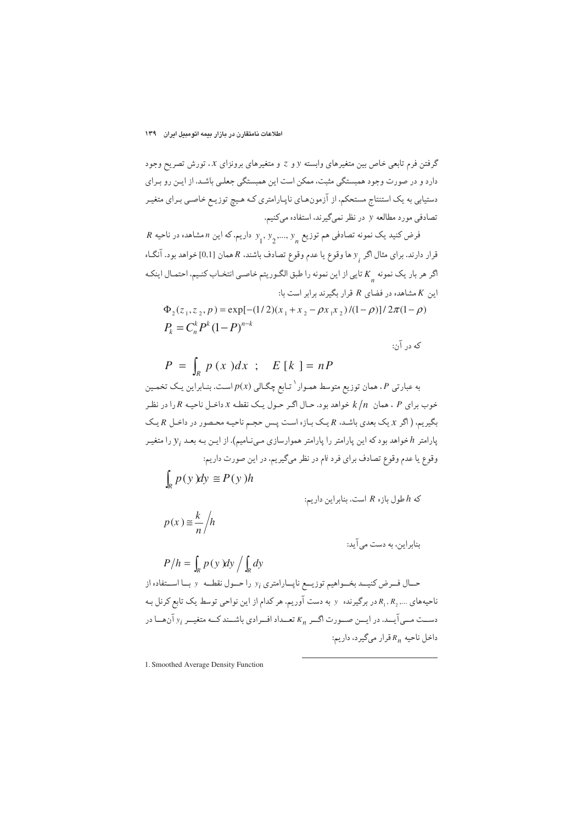گرفتن فرم تابعی خاص بین متغیرهای وابسته y و z و متغیرهای برونزای x، تورش تصریح وجود دارد و در صورت وجود همبستگی مثبت، ممکن است این همبستگی جعلـی باشـد. از ایـن رو بـرای دستیابی به یک استنتاج مستحکم، از آزمونهـای ناپـارامتری کـه هـیچ توزیـع خاصـی بـرای متغیـر تصادفی مورد مطالعه y در نظر نمیگیرند، استفاده میکنیم.

 $R$  فرض کنید یک نمونه تصادفی هم توزیع  $y_1, y_2, ..., y_n$  داریم. که این n مشاهده در ناحیه قرار دارند. برای مثال اگر <sub>ب</sub> و ها وقوع یا عدم وقوع تصادف باشند. R همان [0,1] خواهد بود. آنگـاه اگر هر بار یک نمونه K یی از این نمونه را طبق الگـوریتم خاصـی انتخـاب کنـیم، احتمـال اینکـه این K مشاهده در فضای R قرار بگیرند برابر است با:

$$
\Phi_2(z_1, z_2, p) = \exp[-(1/2)(x_1 + x_2 - \rho x_1 x_2)/(1 - \rho)]/2\pi(1 - \rho)
$$
  
\n
$$
P_k = C_n^k P^k (1 - P)^{n-k}
$$

که در آن:

$$
P = \int_{R} p(x) dx \ ; \quad E[k] = nP
$$

به عبارتی P، همان توزیع متوسط همـوار `تـابع چگـالی (p(x اسـت. بنـابراین یـک تخمـین خوب برای P ، همان  $k/n$  خواهد بود. حـال اگـر حـول یـک نقطـه x داخـل ناحیـه R را در نظـر بگیریم، ( اگر x یک بعدی باشد، R یک بازه است پس حجم ناحیه محصور در داخل R یک پارامتر  $h$ خواهد بود که این پارامتر را پارامتر هموارسازی مـینـامیم). از ایـن بـه بعـد  $y_i$  را متغیـر وقوع یا عدم وقوع تصادف برای فرد نام در نظر میگیریم، در این صورت داریم:

$$
\int_{R} p(y) dy \cong P(y) h
$$

 $P/h = \int p(v) dv / \int dv$ 

که  $h$  طول بازه  $R$  است. بنابراین داریم:

$$
p(x) \equiv \frac{k}{n} / h
$$

بنابراین، به دست می آید:

د<sup>7</sup> کیا ہیہ کنیب د بخ-واهیم توزیج ناپ-ارامتری *ب* ۱۷ (کیر کنیب د بدا استفاده از  
ناحیههای ..., R<sub>1</sub>, R<sub>2</sub> ... برگیرنده ۷ به دست آوریم، هر کنام از این نواحی توسط یک تابع کرنل به  
دست مسی آیبد. در ایین صیورت اگس K<sub>n</sub> کتیاد افرادی باش-ند که متغیس ۲۲ آنها در  
داخل ناحیه  
$$
R_n
$$
 قرار میگیرد، داریم:

1. Smoothed Average Density Function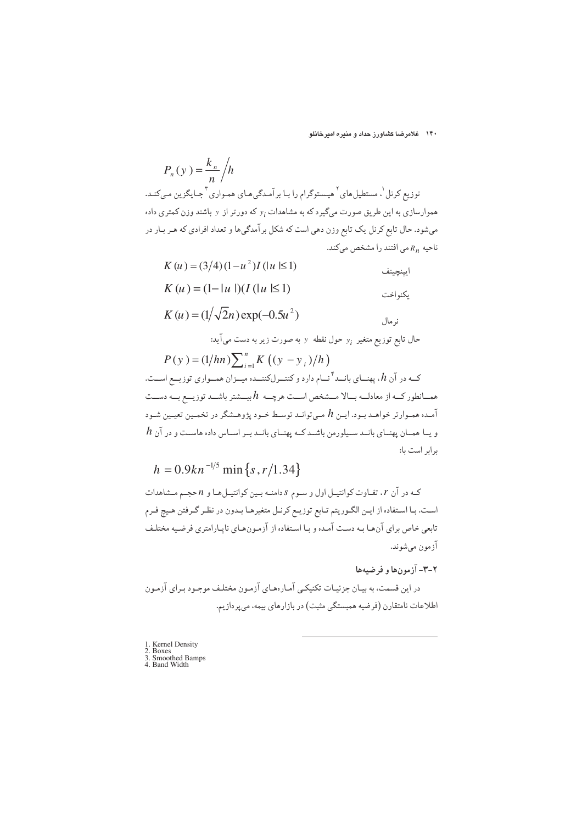۱۴۰ غلامرضا کشاورز حداد و منیره امیرخانلو

 $P_n(y) = \frac{k_n}{n} / h$ توزیع کرنل <sup>۱</sup>. مستطیل های <sup>۲</sup> هیـستوگرام را بـا برآمـدگی هـای همـواری <sup>۳</sup> جـایگزین مـیکنـد. هموارسازی به این طریق صورت میگیرد که به مشاهدات  $y_i$  که دورتر از  $y$  باشند وزن کمتری داده میشود. حال تابع کرنل یک تابع وزن دهی است که شکل بر آمدگیها و تعداد افرادی که هـر بـار در ناحیه  $R_n$ می افتند را مشخص میکند.

$$
K(u) = (3/4)(1 - u2)I (|u| \le 1)
$$
  
\n
$$
K(u) = (1 - |u|)(I (|u| \le 1))
$$

$$
K(u) = (1/\sqrt{2}n) \exp(-0.5u^{2})
$$

حال تابع توزیع متغیر  $y_i$  حول نقطه  $y_i$  به صورت زیر به دست می آید:

$$
h = 0.9kn^{-1/5} \min\{s, r/1.34\}
$$

که در آن r، تفـاوت کوانتیـل اول و سـوم s دامنـه بـین کوانتیـلهـا و n حجـم مـشاهدات است. بـا اسـتفاده از ايـن الگـوريتم تـابع توزيـع كرنـل متغيرهـا بـدون در نظـر گـرفتن هـيچ فـرم تابعی خاص برای آنها به دست آمده و با استفاده از آزمونهای ناپارامتری فرضیه مختلف آزمون ميشوند.

### ٢-٣- آزمونها و فرضيهها

در این قسمت، به بیـان جزئیـات تکنیکـي آمـارههـاي آزمـون مختلـف موجـود بـراي آزمـون اطلاعات نامتقارن (فرضیه همبستگی مثبت) در بازارهای بیمه، می پردازیم.

- 1. Kernel Density<br>2. Boxes<br>3. Smoothed Bamps<br>4. Band Width
-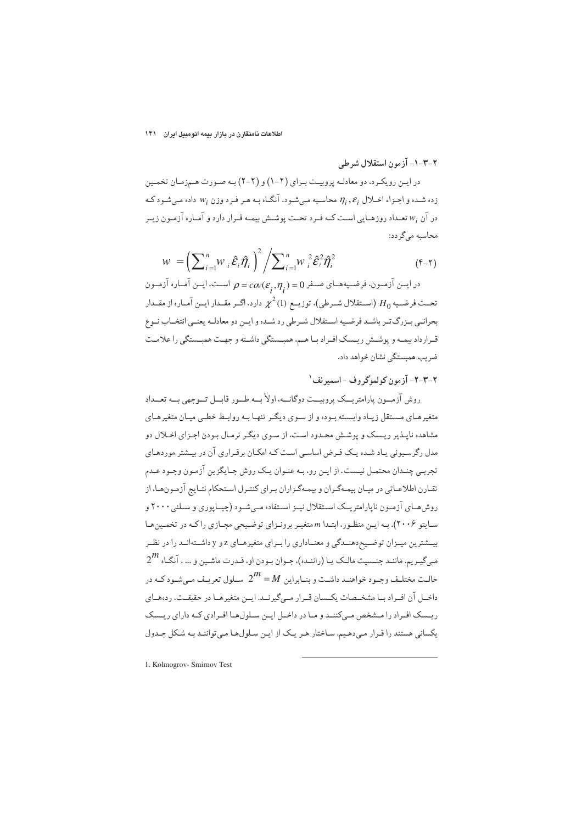#### اطلاعات نامتقارن در بازار بیمه اتومبیل ایران ۱۴۱

۲-۳-۱- آزمون استقلال شرطی

در ایـن رویکـرد، دو معادلـه پروبیـت بـرای (۲-۱) و (۲-۲) بـه صـورت هـمزمـان تخمـین زده شده و اجـزاء اخــلال  $\eta_i, \varepsilon_i$  محاسـبه مــ شـود. آنگــاه بـه هـر فـرد وزن  $w_i$  داده مــ شـود كـه در آن  $w_i$  تعبداد روزهبایی است کبه فیرد تحت پوشش پیمیه قیرار دارد و آمیاره آزمون زب محاسبه میگر دد:

$$
W = \left(\sum_{i=1}^{n} W_i \hat{\mathcal{E}}_i \hat{\eta}_i\right)^2 / \sum_{i=1}^{n} W_i^2 \hat{\mathcal{E}}_i^2 \hat{\eta}_i^2
$$
 (f-1)

در ایــن آزمــون، فرضــیههــای صــفر ( $\alpha(c_\varepsilon,\eta_\varepsilon)=c$  اســت. ایــن آمــاره آزمــون تحـت فرضـيه  $H_0$  (اســتقلال شــرطي)، توزيــع (1)  $\chi^2$  دارد. اگــر مقــدار ايــن آمــاره از مقــدار بحرانـي بـزرگتـر باشـد فرضـيه اسـتقلال شـرطي رد شـده و ايـن دو معادلـه يعنـي انتخـاب نـوع قـرارداد بیمـه و پوشــش ریــسک افـراد بــا هــم، همبــستگی داشــته و جهـت همبــستگی را علامــت ضر ب همستگی نشان خواهد داد.

۲-۳-۲- آزمون کولموگروف -اسمیرنف<sup>۱</sup>

روش آزمسون پارامتریسک پروست دوگانسه، اولاً پسه طسور قابسل تسوچهی پسه تعسداد .<br>متغیر هــای مــستقل زیــاد وابــسته بـوده و از ســوی دیگـر تنهـا بــه روابــط خطــی میــان متغیر هــای مشاهده ناپـذیر ریـسک و پوشـش محـدود اسـت، از سـوي ديگـر نرمـال بـودن اجـزاي اخـلال دو مدل رگر سیونی پیاد شیده یک فیرض اساسی است کیه امکیان بر قبراری آن در بیشتر موردهیای تجرببي چنـدان محتمـل نيـست. از ايـن رو، بـه عنـوان يـک روش جـايگزين آزمـون وجـود عـدم تقـارن اطلاعـاتي در ميـان بيمـهگـران و بيمـهگـزاران بـراي كنتـرل اسـتحكام نتـايج آزمـونهـا، از روش هـاي آزمـون ناپارامتريــک اسـتقلال نيــز اسـتفاده مــىشـود (چيــاپوري و سـلني ٢٠٠٠ و سابتو ۲۰۰۶). په این منظور، ابتدا m متغییر برونیزای توضیحه محیازی را که در تخصین هیا بیــشترین میــزان توضــیح<هنــدگی و معنــاداری را بــرای متغیرهــای z و y داشــتهانــد را در نظــر  $2^{\textstyle m}$  میگیریم. ماننـد جنـسیت مالـک یـا (راننـده)، جـوان بـودن او، قـدرت ماشـین و ... . آنگـاه حالت مختلـف وحـود خواهنـد داشـت و بنـایراین  $M=1$  سـلول تعریـف مـه شـود کـه در  $\omega$ داخـل آن افـراد بـا مشخـصات يكـسان قـرار مـىگيرنـد. ايـن متغيرهـا در حقيقـت، ردهمـاي ریسک افـراد را مـشخص مـی)کننـد و مـا در داخـل ایـن سـلولهـا افـرادی کـه دارای ریـسک یکسانی هستند را قرار می دهیم. ساختار هر یک از این سلولها می توانند به شکل جدول

1. Kolmogrov- Smirnov Test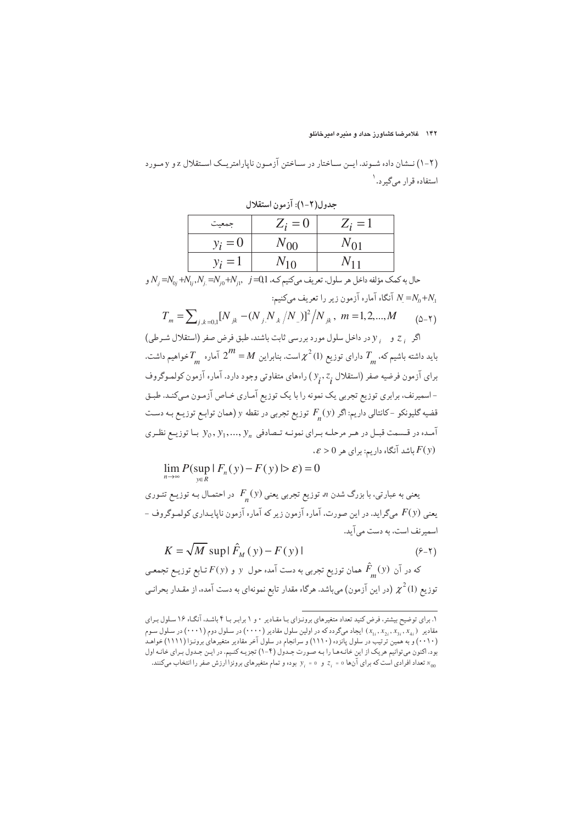۱۴۲ خلامرضا کشاورز حداد و منیره امیرخانلو

(۲-۱) نـشان داده شـوند. ايـن سـاختار در سـاختن آزمـون نايارامتريـک اسـتقلال z و y مـورد استفاده قرار ميگير د.<sup>۱</sup>

| <u>. contractor in c</u>                                                                                                                                                               |          |          |  |  |
|----------------------------------------------------------------------------------------------------------------------------------------------------------------------------------------|----------|----------|--|--|
| جمعيت                                                                                                                                                                                  | $Z_i=0$  | $Z_i=1$  |  |  |
| $y_i = 0$                                                                                                                                                                              | $N_{00}$ | $N_{01}$ |  |  |
| $y_i = 1$                                                                                                                                                                              | $N_{10}$ | $N_{11}$ |  |  |
| $\mathbf{v}$ , $\mathbf{v}$ , $\mathbf{v}$ , $\mathbf{v}$ , $\mathbf{v}$ , $\mathbf{v}$ , $\mathbf{v}$ , $\mathbf{v}$ , $\mathbf{v}$ , $\mathbf{v}$ , $\mathbf{v}$ , $\mathbf{v}$<br>. |          |          |  |  |

حده ل(٢-١): آن مون استقلال

و N<sub>j</sub> = $N_{0j}$  + $N_{1j}$ ,  $N_{j}$  = $N_{j0}$ + $N_{j1}$ ,  $j = 0, 1$ ، حال به کمک مؤلفه داخل هر سلول، تعریف میکنیم کـه، 10 آنگاه آماره آزمون زیر را تعریف میکنیم:  $N = N_0 + N_1$ 

$$
T_m = \sum_{j,k=0,1} [N_{jk} - (N_{j}N_{.k}/N_{.j})]^2 / N_{jk}, \ m = 1,2,...,M \qquad (2-1)
$$

اگر , ج و , y در داخل سلول مورد بررسی ثابت باشند. طبق فرض صفر (استقلال شـرطی) باید داشته باشیم که،  $T$  دارای توزیع (1) $\chi^2$ است. بنابراین  $M=1$  آماره  $T$ خواهیم داشت. برای آزمون فرضیه صفر (استقلال ,v,, z ) راههای متفاوتی وجود دارد. آماره آزمون کولموگروف -اسمیرنف، برابری توزیع تجربی یک نمونه را با یک توزیع آمـاری خـاص آزمـون مـیکنـد. طبـق قضیه گلیونکو -کانتالی داریم: اگر  $F_{\underline{.}}(y)$  توزیع تجربی در نقطه y (همان توابـع توزیـع بـه دسـت آمـده در قـسمت قبـل در هـر مرحلـه بـراي نمونـه تـصادفي  $y_n, y_1, ..., y_n$  بـا توزيـع نظـري  $\cdot \mathcal{E} > 0$  باشد آنگاه داریم: برای هر  $F(y)$ 

 $\lim P(\sup | F_n(y) - F(y) | > \varepsilon) = 0$ 

یعنی به عبارتی، با بزرگ شدن n توزیع تجربی یعنی  $F_{_{n}}(y)$  در احتمـال بـه توزیـع تئـوری - يعني (F(y مي گرايد. در اين صورت، آماره آزمون زير كه آماره آزمون ناپايـداري كولمـوگروف اسمیرنف است، به دست می آید.

$$
K = \sqrt{M} \, \sup \left| \, \hat{F}_M(y) - F(y) \, \right| \tag{8-1}
$$

که در آن  $\hat{F}_{\perp}(y)$  همان توزیع تجربی به دست آمده حول  $y$  و  $F(y)$  تـابع توزیــع تجمعـی توزیع (1)  $\chi^2$  (در این آزمون) میباشد. هرگاه مقدار تابع نمونهای به دست آمده، از مقـدار بحرانـی

۱. برای توضیح بیشتر، فرض کنید تعداد متغیرهای برونـزای بـا مقـادیر ۰ و ۱ برابـر بـا ۴ باشـد. آنگـاه ۱۶ سـلول بـرای قادیر (۲۰۰۱) در سلول سوم (۲۰۰۱) ایجاد میگردد که در اولین سلول مقادیر (۲۰۰۰) در سلول دوم (۲۰۰۱) در سلول سوم بود. اکنون می توانیم هریک از این خانمها را بـه صـورت جـدول (۴-۱) تجزیـه کنـیم. در ایـن جـدول بـرای خانـه اول تعداد افرادي است كه براي آنها ٥ =  $z_i$  و ٥ =  $y_i = y$  بوده و تمام متغيرهاي برونزا ارزش صفر را انتخاب مىكنند.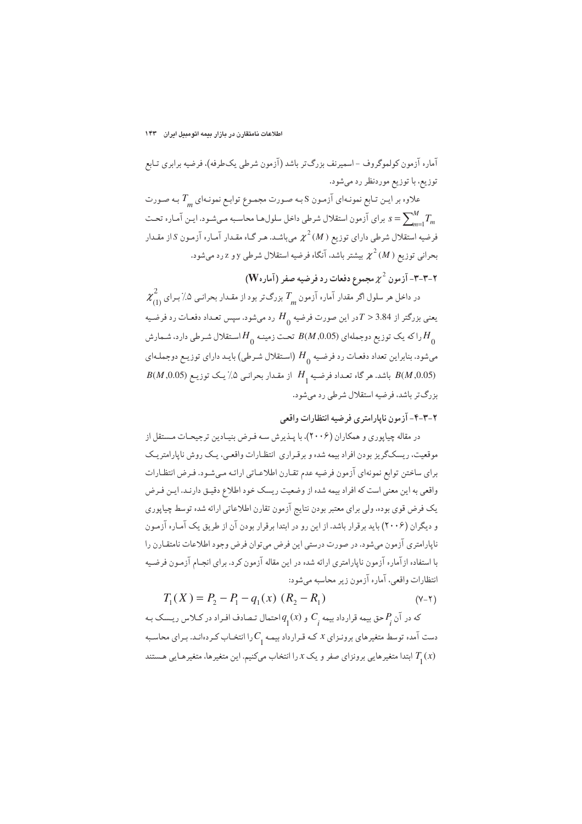### اطلاعات نامتقارن در بازار بیمه اتومبیل ایران ۱۴۳

آماره آزمون کولموگروف -اسمیرنف بزرگ تر باشد (آزمون شرطی یکطرفه)، فرضیه برابری تـابع توزیع، با توزیع موردنظر رد میشود.

علاوه بر ایـن تـابع نمونـهاي آزمـون S بـه صـورت مجمـوع توابـع نمونـهاي "T بـه صـورت برای آزمون استقلال شرطی داخل سلولها محاسبه میشود. ایـن آمـاره تحـت  $s = \sum_{m=1}^M T_m$ فرضیه استقلال شرطی دارای توزیع (  $\chi^2\left(M\right)$  میباشد. هـر گـاه مقـدار آمـاره آزمـون S از مقـدار بحراني توزيع ( M)  $\chi^2\left(M\right)$  بيشتر باشد، آنگاه فرضيه استقلال شرطي y و z رد مي شود.

# $(\mathbf W_\circ$ ۳-۳-۳ آزمون  $\chi^2$  مجموع دفعات رد فرضیه صفر (آماره $\mathbf r$

 $\chi^2_{_{(1)}}$ در داخل هر سلول اگر مقدار آماره آزمون  $T_{_{m}}$  بزرگ تر بود از مقـدار بحرانـی ۰٪ بـرای یعنی بزرگتر از 3.84 < 7در این صورت فرضیه  $H_{_0}$  رد میشود. سپس تعداد دفعـات رد فرضـیه را که یک توزیع دوجملهای (8.0.5  $B(M, 0.05)$  تحت زمینـه  $H_{\alpha}$ اسـتقلال شـرطي دارد، شـمارش  $H_{\alpha}$ میشود. بنابراین تعداد دفعـات رد فرضـیه  $H_{_0}$  (اسـتقلال شـرطی) بایـد دارای توزیـع دوجملـهای  $B(M,0.05)$ باشد. هر گاه تعداد فرضیه  $H$  از مقدار بحرانبی ۵٪ یک توزیع  $B(M,0.05)$ بزرگ تر باشد، فرضیه استقلال شرطی رد میشود.

### ۲-۳-۴- آزمون ناپارامتری فرضیه انتظارات واقعی

در مقاله چیاپوری و همکاران (۲۰۰۶)، با پـذیرش سـه فـرض بنیـادین ترجیحـات مـستقل از موقعیت، ریسکگریز بودن افراد بیمه شده و برقراری انتظارات واقعبی، یک روش ناپارامتریک براي ساختن توابع نمونهاي آزمون فرضيه عدم تقارن اطلاعـاتي ارائـه مـيشـود. فـرض انتظـارات واقعی به این معنی است که افراد بیمه شده از وضعیت ریسک خود اطلاع دقیـق دارنـد. ایـن فـرض یک فرض قوی بوده، ولی برای معتبر بودن نتایج آزمون تقارن اطلاعاتی ارائه شده توسط چیاپوری و دیگران (۲۰۰۶) باید برقرار باشد. از این رو در ابتدا برقرار بودن آن از طریق یک آماره آزمون .<br>ناپارامتري آزمون مي شود. در صورت درستي اين فرض مي توان فرض وجود اطلاعات نامتقـارن را با استفاده از آماره آزمون ناپارامتری ارائه شده در این مقاله آزمون کرد. برای انجـام آزمـون فرضـیه انتظارات واقعي، آماره آزمون زير محاسبه مىشود:

$$
T_1(X) = P_2 - P_1 - q_1(x) (R_2 - R_1)
$$
 (Y-Y)

که در آن  $P_{_{\!\!j}}$ حق بیمه قرارداد بیمه  $C_{_{\!\!j}}$  و  $q_{_{\!\!1}}(x)$  احتمال تـصادف افـراد در کـلاس ریـسک بـه دست آمده توسط متغیرهای برونـزای x کـه قـرارداد بیمـه ,C را انتخـاب کـردهانـد. بـرای محاسـبه ابتدا متغیرهایی برونزای صفر و یک  $x$ را انتخاب میکنیم. این متغیرها، متغیرهایی هستند  $T_{\text{1}}(x)$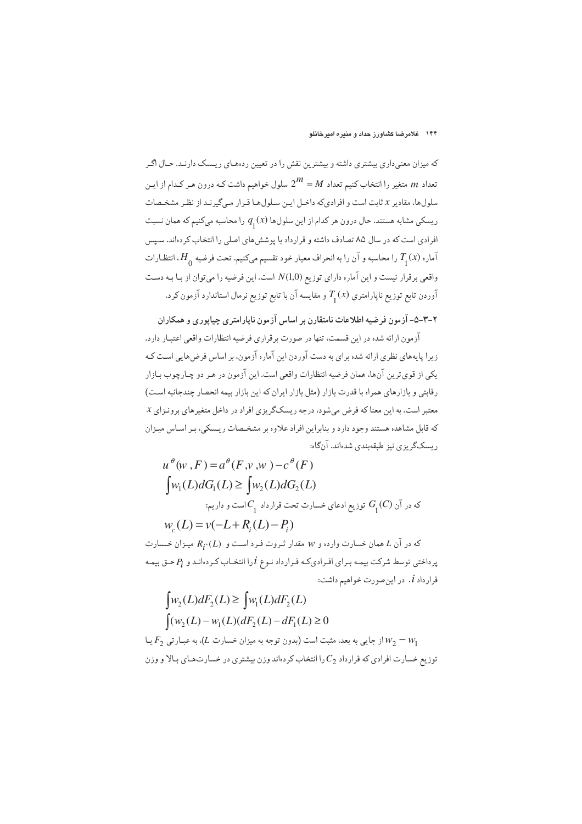که میزان معنیداری بیشتری داشته و بیشترین نقش را در تعیین ردههای ریسک دارنـد. حـال اگـر تعداد  $m$  متغیر را انتخاب کنیم تعداد  $M=2^{\prime\prime}$  سلول خواهیم داشت کـه درون هـر کـدام از ایـن سلولها، مقادیر x ثابت است و افرادیکه داخـل ایـن سـلولهـا قـرار مـیگیرنـد از نظـر مشخـصات ریسکی مشابه هستند. حال درون هر کدام از این سلولها  $q_{_{1}}(x)$  را محاسبه میکنیم که همان نسبت افرادی است که در سال ۸۵ تصادف داشته و قرارداد با پوشش های اصلی را انتخاب کردهاند. سپس آماره  $T_{_1}(x)$  را محاسبه و آن را به انحراف معیار خود تقسیم میکنیم. تحت فرضیه  $H_{_0}$ ، انتظـارات واقعی برقرار نیست و این آماره دارای توزیع (1,0)N است. این فرضیه را میتوان از بـا بـه دسـت آوردن تابع توزيع ناپارامتري  $T_{_{\rm 1}}(x)$  و مقايسه آن با تابع توزيع نرمال استاندارد آزمون كرد.

### ۲-۳-۵- آزمون فرضیه اطلاعات نامتقارن بر اساس آزمون ناپارامتری چیاپوری و همکاران

.<br>آزمون ارائه شده در این قسمت، تنها در صورت بر قراری فرضیه انتظارات واقعی اعتبـار دارد. زیرا پایههای نظری ارائه شده برای به دست آوردن این آماره آزمون، بر اساس فرضهایی است کـه يكي از قوىترين آنها، همان فرضيه انتظارات واقعى است. اين آزمون در هـر دو چـارچوب بـازار رقابتی و بازارهای همراه با قدرت بازار (مثل بازار ایران که این بازار بیمه انحصار چندجانبه است) معتبر است. به این معناکه فرض میشود، درجه ریسکگریزی افراد در داخل متغیرهای برونـزای x که قابل مشاهده هستند وجود دارد و بنابراین افراد علاوه بر مشخـصات ریـسکی، بـر اسـاس میـزان ريسكگريزي نيز طبقهبندي شدهاند. آنگاه:

$$
u^{\theta}(w, F) = a^{\theta}(F, v, w) - c^{\theta}(F)
$$
  
\n
$$
\int w_1(L)dG_1(L) \ge \int w_2(L)dG_2(L)
$$
  
\n
$$
\vdots \qquad \vdots
$$
  
\n
$$
w_c(L) = v(-L + R_i(L) - P_i)
$$
  
\n
$$
\Phi(x, \tilde{L}) = \Phi(x, \tilde{L}) - \Phi(x, \tilde{L})
$$
  
\n
$$
R_i(G) = \Phi(x, \tilde{L}) - \Phi(x, \tilde{L})
$$
  
\n
$$
R_i(G) = \Phi(x, \tilde{L}) - \Phi(x, \tilde{L})
$$
  
\n
$$
\Phi(x, \tilde{L}) = \Phi(x, \tilde{L}) - \Phi(x, \tilde{L})
$$
  
\n
$$
\Phi(x, \tilde{L}) = \Phi(x, \tilde{L}) - \Phi(x, \tilde{L})
$$
  
\n
$$
\Phi(x, \tilde{L}) = \Phi(x, \tilde{L}) - \Phi(x, \tilde{L})
$$
  
\n
$$
\Phi(x, \tilde{L}) = \Phi(x, \tilde{L}) - \Phi(x, \tilde{L})
$$
  
\n
$$
\Phi(x, \tilde{L}) = \Phi(x, \tilde{L}) - \Phi(x, \tilde{L})
$$
  
\n
$$
\Phi(x, \tilde{L}) = \Phi(x, \tilde{L}) - \Phi(x, \tilde{L})
$$
  
\n
$$
\Phi(x, \tilde{L}) = \Phi(x, \tilde{L}) - \Phi(x, \tilde{L})
$$
  
\n
$$
\Phi(x, \tilde{L}) = \Phi(x, \tilde{L}) - \Phi(x, \tilde{L})
$$
  
\n
$$
\Phi(x, \tilde{L}) = \Phi(x, \tilde{L}) - \Phi(x, \tilde{L})
$$
  
\n
$$
\Phi(x, \tilde{L}) = \Phi(x, \tilde{L}) - \Phi(x, \tilde{L})
$$
  
\n
$$
\Phi(x, \tilde{L}) = \Phi(x, \tilde{L}) - \Phi(x, \tilde{L})
$$
  
\n
$$
\Phi(x, \tilde{L}) = \Phi(x, \tilde{L}) - \Phi(x, \tilde{L})
$$
  
\n
$$
\
$$

 $\int (w_2(L) - w_1(L)(dF_2(L) - dF_1(L)) \ge 0$ از جایی به بعد، مثبت است (بدون توجه به میزان خسارت  $(L)$ ، به عبـارتی  $F_2$  یـا $W_2 = W_1$ توزیع خسارت افرادی که قرارداد  $C_2$  را انتخاب کردهاند وزن بیشتری در خسارتهـای بـالا و وزن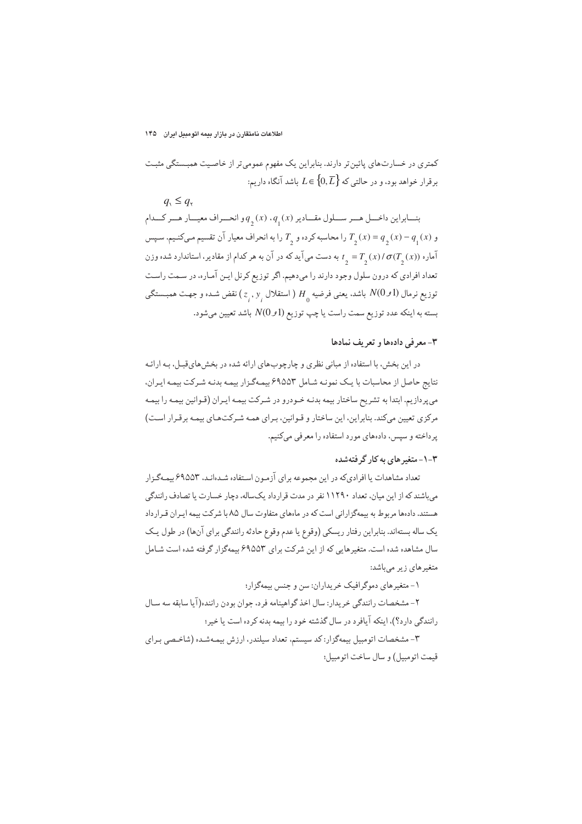کمتری در خسارتهای پائین تر دارند. بنابراین یک مفهوم عمومیتر از خاصیت همبستگی مثبت برقرار خواهد بود، و در حالتی که  $L \in \{0, \overline{L}\}$  باشد آنگاه داریم:

 $q_{\rm v} \leq q_{\rm v}$ بنسابراین داخسل هسر سسلول مقسادیر (x) ،  $q_{_{\textstyle 1}}(x)$  و انحسراف معیسار هسر کسدام و (x) = q (x) = q(x) را محاسبه کرده و  $T_a$  را به انحراف معیار آن تقسیم مـیکنـیم. سـپس آماره  $\sigma(T_{_2}(x))$  /  $\sigma(T_{_2}(x))$  به دست میآید که در آن به هر کدام از مقادیر، استاندارد شده وزن تعداد افرادي كه درون سلول وجود دارند را مىدهيم. اگر توزيع كرنل ايـن آمـاره، در سـمت راسـت توزیع نرمال (1 $N(0\,$  باشد. یعنی فرضیه  $H$  ( استقلال  $(z_{\scriptscriptstyle{.}},v_{\scriptscriptstyle{.}})$  نقض شـده و جهـت همبــستگی بسته به اينكه عدد توزيع سمت راست يا چپ توزيع (1 $N(0\,\sigma$  باشد تعيين ميشود.

#### ٣-معرفي دادهها و تعريف نمادها

در این بخش، با استفاده از مبانی نظری و چارچوبهای ارائه شده در بخش هایقبل، بـه ارائـه نتايج حاصل از محاسبات با يك نمونـه شـامل ۶۹۵۵۳ بيمـهگـزار بيمـه بدنـه شـركت بيمـه ايـران. میپردازیم. ابتدا به تشریح ساختار بیمه بدنـه خـودرو در شـرکت بیمـه ایـران (قـوانین بیمـه را بیمـه مرکزی تعیین میکند. بنابراین، این ساختار و قـوانین، بـرای همـه شـرکتهـای بیمـه برقـرار اسـت) پرداخته و سپس، دادههای مورد استفاده را معرفی میکنیم.

### ۳-۱-متغیر های به کار گرفتهشده

تعداد مشاهدات یا افرادیکه در این مجموعه برای آزمون استفاده شـدهانـد، ۶۹۵۵۳ بیمـهگـزار میباشند که از این میان، تعداد ۱۱۲۹۰ نفر در مدت قرارداد یکساله، دچار خسارت یا تصادف رانندگی هستند. دادهها مربوط به بیمهگزارانی است که در ماههای متفاوت سال ۸۵ با شرکت بیمه ایـران قـرارداد يک ساله بستهاند. بنابراين رفتار ريسکي (وقوع يا عدم وقوع حادثه رانندگي براي آنها) در طول يک سال مشاهده شده است. متغیرهایی که از این شرکت برای ۶۹۵۵۳ بیمهگزار گرفته شده است شـامل متغیرهای زیر میباشد:

۱- متغیر های دموگر افیک خر بداران: سن و حنس بیمهگزار؛

٢- مشخصات رانندگي خريدار: سال اخذ گواهينامه فرد، جوان بودن راننده(آيا سابقه سه سـال رانندگی دارد؟)، اینکه آیافرد در سال گذشته خود را بیمه بدنه کرده است یا خیر؛

۳- مشخصات اتومبیل بیمهگزار: کد سیستم، تعداد سیلندر، ارزش بیمهشـده (شاخـصي بـراي قيمت اتومبيل) و سال ساخت اتومبيل؛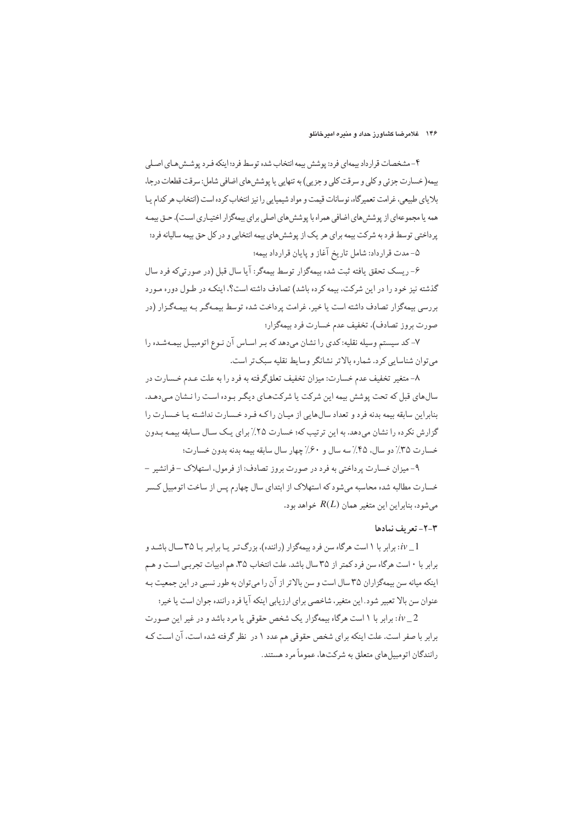#### ۱۴۶ - غلامرضا کشاورز حداد و منبره امیرخانلو

۴- مشخصات قرارداد بیمهای فرد: پوشش بیمه انتخاب شده توسط فرد؛ اینکه فـرد پوشــش هـای اصـلی بيمه( خسارت جزئي و كلي و سرقت كلي و جزيبي) به تنهايي يا پوشش هاي اضافي شامل: سرقت قطعات درجا، بلایای طبیعی، غرامت تعمیرگاه، نوسانات قیمت و مواد شیمیایی را نیز انتخاب کرده است (انتخاب هر کدام پـا همه یا مجموعهای از پوشش های اضافی همراه با پوشش های اصلی برای بیمهگزار اختیـاری اسـت). حـق بیمـه پرداختی توسط فرد به شرکت بیمه برای هر یک از پوشش های بیمه انتخابی و در کل حق بیمه سالیانه فرد؛

۵- مدت قرارداد: شامل تاریخ آغاز و پایان قرارداد بیمه؛

۶- ريسک تحقق يافته ثبت شده بيمهگزار توسط بيمهگر: آيا سال قبل (در صورتي)ه فرد سال گذشته نیز خود را در این شرکت، بیمه کرده باشد) تصادف داشته است؟، اینکـه در طـول دوره مـورد بررسی بیمهگزار تصادف داشته است یا خیر، غرامت پرداخت شده توسط بیمـهگـر بـه بیمـهگـزار (در صورت بروز تصادف)، تخفيف عدم خسارت فرد بيمهگزار؛

۷- کد سیستم وسیله نقلیه: کدی را نشان میدهد که بـر اسـاس آن نـوع اتومبیـل بیمـهشـده را می توان شناسایی کرد. شماره بالاتر نشانگر وسایط نقلیه سبکتر است.

۸- متغیر تخفیف عدم خسارت: میزان تخفیف تعلقگرفته به فرد را به علت عـدم خـسارت در سال های قبل که تحت پوشش بیمه این شرکت یا شرکتهای دیگر بوده است را نشان می دهد. بنابراین سابقه بیمه بدنه فرد و تعداد سال هایی از میبان را کیه فیرد خسیارت نداشته با خیسارت را گزارش نکرده را نشان میدهد. به این ترتیب که؛ خسارت ٢۵٪ برای یک سال سابقه بیمـه بـدون خسارت ٣۵٪ دو سال، ۴۵٪ سه سال و ۶۰٪ چهار سال سابقه بیمه بدنه بدون خسارت؛

۹- میزان خسارت پرداختی به فرد در صورت بروز تصادف: از فرمول، استهلاک – فرانشیر – خسارت مطالبه شده محاسبه میشود که استهلاک از ابتدای سال چهارم پس از ساخت اتومبیل کـسر می شود، بنابراین این متغیر همان  $R(L)$  خواهد بود.

#### ٣-٢- تعريف نمادها

برابر با ۱ است هرگاه سن فرد بیمهگزار (راننده)، بزرگ تـر یـا برابـر بـا ۳۵ سـال باشـد و: $i\nu\_1$ برابر با ۰ است هرگاه سن فرد کمتر از ۳۵ سال باشد. علت انتخاب ۳۵، هم ادبیات تجربی است و هـم اینکه میانه سن بیمهگزاران ۳۵ سال است و سن بالاتر از آن را میتوان به طور نسبی در این جمعیت بـه عنوان سن بالا تعبير شود. اين متغير، شاخصي براي ارزيابي اينكه آيا فرد راننده جوان است يا خير؛

برابر با ۱ است هرگاه بیمهگزار یک شخص حقوقی یا مرد باشد و در غیر این صورت:  $i\nu\_2$ برابر با صفر است. علت اینکه برای شخص حقوقی هم عدد ١ در نظر گرفته شده است، آن است ک رانندگان اتومبیل های متعلق به شرکتها، عموماً مرد هستند.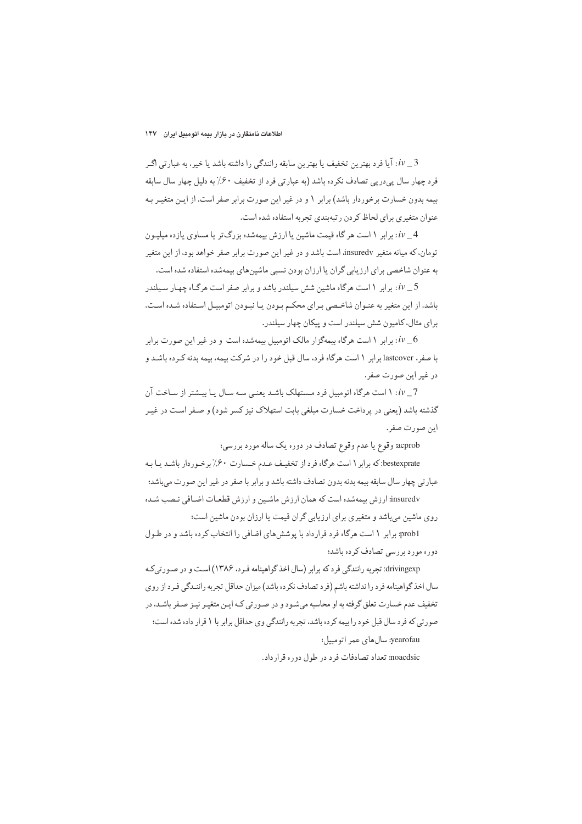یا فرد بهترین تخفیف یا بهترین سابقه رانندگی را داشته باشد یا خیر، به عبارتی اگـر  $i\nu\_3$ فرد چهار سال پیدریی تصادف نکرده باشد (به عبارتی فرد از تخفیف ۶۰٪ به دلیل چهار سال سابقه بیمه بدون خسارت برخوردار باشد) برابر ۱ و در غیر این صورت برابر صفر است. از ایـن متغیـر بـه عنوان متغیری برای لحاظ کردن رتبهبندی تجربه استفاده شده است.

iv\_4: برابر ۱ است هر گاه قیمت ماشین یا ارزش بیمهشده بزرگتر یا مساوی یازده میلیون تومان، که میانه متغیر insuredv است باشد و در غیر این صورت برابر صفر خواهد بود، از این متغیر به عنوان شاخصی برای ارزیابی گران یا ارزان بودن نسبی ماشینهای بیمهشده استفاده شده است.

یا برابر ۱ است هرگاه ماشین شش سیلندر باشد و برابر صفر است هرگـاه چهـار سـیلندر: iv\_5 باشد. از این متغیر به عنـوان شاخـصی بـرای محکـم بـودن بـا نبـودن اتومبیـل اسـتفاده شـده اسـت. برای مثال، کامیون شش سیلندر است و پیکان چهار سیلندر.

یرایر ۱ است هرگاه بیمهگزار مالک اتومبیل بیمهشده است و در غیر این صورت برایر:  $i\nu_{-}6$ با صفر، lastcover برابر ۱ است هرگاه فرد، سال قبل خود را در شرکت بیمه، بیمه بدنه کرده باشد و در غير اين صورت صفر.

 $iv-7$  : ۱ است هرگاه اتومبیل فرد مستهلک باشد بعنبی سه سال با بسشتر از ساخت آن گذشته باشد (يعني در پرداخت خسارت مبلغي بابت استهلاک نيز کسر شود) و صـفر اسـت در غيـر اين صورت صفر.

acprob: وقوع یا عدم وقوع تصادف در دوره یک ساله مورد بررسی؛

bestexprate:که برابر ۱ است هرگاه فرد از تخفیف عـدم خـسارت ۶۰٪ برخـوردار باشـد یـا بـه عبارتي چهار سال سابقه بيمه بدنه بدون تصادف داشته باشد و برابر با صفر در غير اين صورت ميباشد؛ insuredv: ارزش بیمهشده است که همان ارزش ماشین و ارزش قطعـات اضـافی نـصب شـده روی ماشین میباشد و متغیری برای ارزیابی گران قیمت یا ارزان بودن ماشین است؛

prob1: برابر ۱ است هرگاه فرد قرارداد با پوشش های اضافی را انتخاب کرده باشد و در طـول دوره مورد بررسی تصادف کرده باشد؛

drivingexp: تجربه رانندگی فرد که برابر (سال اخذ گواهینامه فیرد، ۱۳۸۶) است و در صورتی کـه سال اخذ گواهینامه فرد را نداشته باشم (فرد تصادف نکرده باشد) میزان حداقل تجربه راننـدگی فـرد از روی تخفیف عدم خسارت تعلق گرفته به او محاسبه میشـود و در صـورتی کـه ایـن متغیـر نیـز صـفر باشـد، در صورتی که فرد سال قبل خود را بیمه کرده باشد، تجربه رانندگی وی حداقل برابر با ۱ قرار داده شده است؛ yearofau: سال های عمر اتومبیل؛

noacdsic: تعداد تصادفات فرد در طول دوره قرارداد.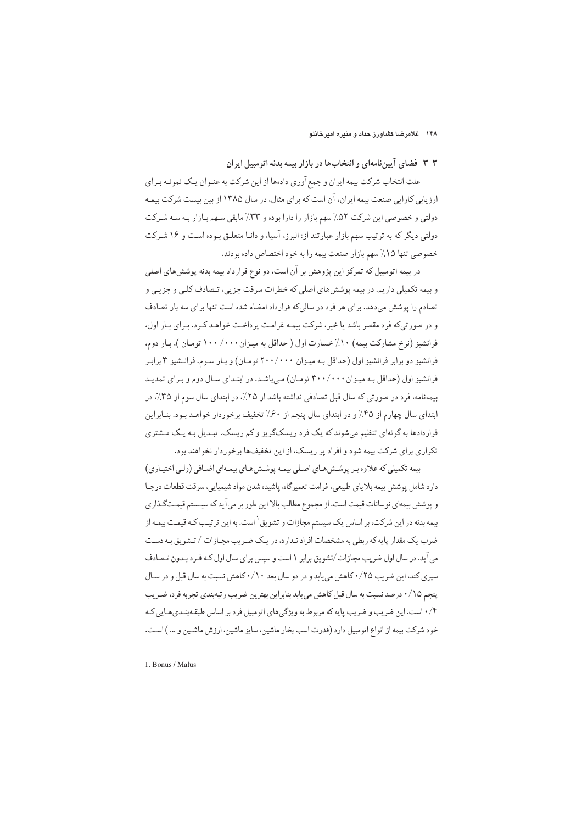۳-۳- فضای آییننامهای و انتخابها در بازار بیمه بدنه اتومبیل ایران

علت انتخاب شرکت بیمه ایران و جمع آوری دادهها از این شرکت به عنـوان یـک نمونـه بـرای ارزیابی کارایی صنعت بیمه ایران، آن است که برای مثال، در سال ۱۳۸۵ از بین بیست شرکت بیمـه دولتی و خصوصی این شرکت ۵۲٪ سهم بازار را دارا بوده و ۳۳٪ مابقی سهم بـازار بـه سـه شـرکت دولتی دیگر که به ترتیب سهم بازار عبارتند از: البرز، آسیا، و دانـا متعلـق بـوده اسـت و ۱۶ شـرکت خصوصي تنها ١٥٪ سهم بازار صنعت بيمه را به خود اختصاص داده بودند.

در بیمه اتومبیل که تمرکز این پژوهش بر آن است، دو نوع قرارداد بیمه بدنه پوششهای اصلی و بیمه تکمیلی داریم. در بیمه پوشش های اصلی که خطرات سرقت جزیی، تـصادف کلـی و جزیـی و تصادم را پوشش میدهد. برای هر فرد در سالیکه قرارداد امضاء شده است تنها برای سه بار تصادف و در صورتیکه فرد مقصر باشد یا خیر، شرکت بیمـه غرامـت پرداخـت خواهـد کـرد. بـرای بـار اول، فرانشیز (نرخ مشارکت بیمه) ۱۰٪خسارت اول ( حداقل به میزان ۱۰۰/ ۱۰۰ تومان )، بار دوم، فرانشیز دو برابر فرانشیز اول (حداقل به میـزان ۲۰۰/۰۰۰ تومـان) و بـار سـوم، فرانـشيز ۳ برابـر فرانشیز اول (حداقل به میزان ۳۰۰/۰۰۰ تومان) میباشد. در ابتدای سال دوم و برای تمدید بیمهنامه، فرد در صورتی که سال قبل تصادفی نداشته باشد از ۲۵٪، در ابتدای سال سوم از ۳۵٪، در ابتدای سال چهارم از ۴۵٪ و در ابتدای سال پنجم از ۶۰٪ تخفیف برخوردار خواهـد بـود. بنـابراین قراردادها به گونهای تنظیم میشوند که یک فرد ریسکگریز و کم ریسک، تبدیل بـه یـک مـشتری تکراری برای شرکت بیمه شود و افراد پر ریسک، از این تخفیفها برخوردار نخواهند بود.

بیمه تکمیلی که علاوه بر پوشش هـای اصـلی بیمـه پوشـش هـای بیمـهای اضـافی (ولـی اختیـاری) دارد شامل پوشش بيمه بلاياي طبيعي، غرامت تعميرگاه، پاشيده شدن مواد شيميايي، سرقت قطعات درجا و پوشش بیمهای نوسانات قیمت است. از مجموع مطالب بالا این طور بر می آید که سیـستم قیمـتگـذاری بیمه بدنه در این شرکت، بر اساس یک سیستم مجازات و تشویق<sup>۱</sup>است. به این ترتیب کـه قیمـت بیمـه از ضرب یک مقدار پایه که ربطی به مشخصات افراد نـدارد، در یـک ضـریب مجـازات / تـشویق بـه دسـت می آید. در سال اول ضریب مجازات/تشویق برابر ١ است و سپس برای سال اول کـه فـرد بـدون تـصادف سیری کند، این ضریب ۲۵/۰ کاهش می پابد و در دو سال بعد ۰/۱۰ کاهش نسبت به سال قبل و در سـال ينجم ۰/۱۵ درصد نسبت به سال قبل كاهش مي يابد بنابراين بهترين ضريب رتبهبندي تجربه فرد، ضـريب ۰/۴ است. این ضریب و ضریب پایه که مربوط به ویژگیهای اتومبیل فرد بر اساس طبقهبندیهایی که خود شرکت بیمه از انواع اتومبیل دارد (قدرت اسب بخار ماشین، سایز ماشین، ارزش ماشـین و … ) اسـت.

1. Bonus / Malus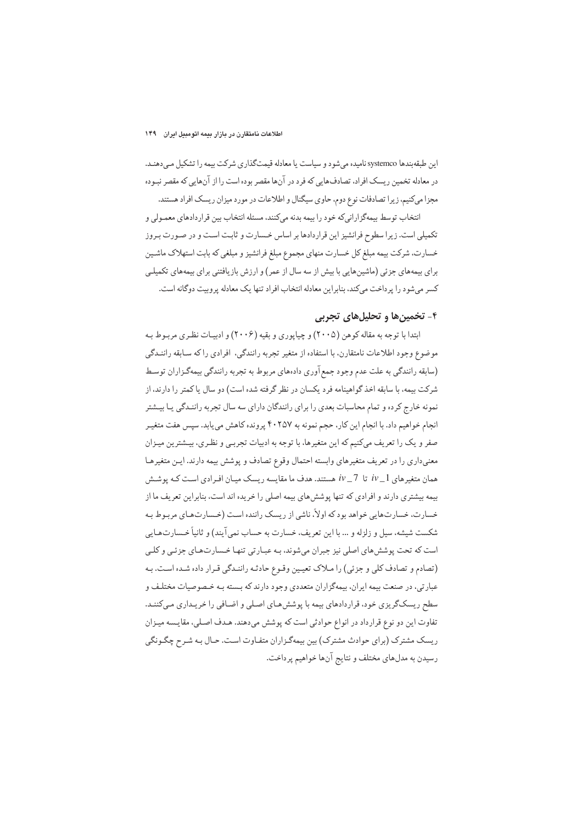اين طبقهبندها systemco ناميده مي شود و سياست يا معادله قيمتگذاري شركت بيمه را تشكيل مي دهنـد. در معادله تخمین ریسک افراد، تصادفهایی که فرد در آنها مقصر بوده است را از آنهایی که مقصر نبـوده مجزا میکنیم، زیرا تصادفات نوع دوم، حاوی سیگنال و اطلاعات در مورد میزان ریسک افراد هستند.

انتخاب توسط بیمهگزارانیکه خود را بیمه بدنه میکنند، مسئله انتخاب بین قراردادهای معمـولی و تکمیلی است. زیرا سطوح فرانشیز این قراردادها بر اساس خـسارت و ثابـت اسـت و در صـورت بـروز خسارت، شرکت بیمه مبلغ کل خسارت منهای مجموع مبلغ فرانشیز و مبلغی که بابت استهلاک ماشـین برای بیمههای جزئی (ماشینهایی با بیش از سه سال از عمر) و ارزش بازیافتنی برای بیمههای تکمیلـی کسر می شود را پر داخت می کند، بنابراین معادله انتخاب افراد تنها یک معادله پروبیت دوگانه است.

### ۴- تخمینها و تحلیلهای تحربی

ابتدا با توجه به مقاله کوهن (۲۰۰۵) و چیاپوری و بقیه (۲۰۰۶) و ادبیـات نظـری مربـوط بـه موضوع وجود اطلاعات نامتقارن. با استفاده از متغير تجربه رانندگي، افرادي راكه سـابقه راننـدگي (سابقه رانندگی به علت عدم وجود جمع آوری دادههای مربوط به تجربه رانندگی بیمهگـزاران توسـط شركت بيمه، با سابقه اخذ گواهينامه فرد يكسان در نظر گرفته شده است) دو سال يا كمتر را دارند، از نمونه خارج کرده و تمام محاسبات بعدی را برای رانندگان دارای سه سال تجربه راننـدگی پـا بیـشتر انجام خواهیم داد. با انجام این کار، حجم نمونه به ۴۰۲۵۷ پرونده کاهش می یابد. سپس هفت متغیـر صفر و یک را تعریف میکنیم که این متغیرها، با توجه به ادبیات تجربی و نظری، بیـشترین میـزان معنیداری را در تعریف متغیرهای وابسته احتمال وقوع تصادف و پوشش بیمه دارند. ایـن متغیرهـا همان متغیرهای 1\_ iv تا 7\_ iv هستند. هدف ما مقایسه ریسک میـان افـرادی اسـت کـه پوشـش بیمه بیشتری دارند و افرادی که تنها پوشش های بیمه اصلی را خریده اند است، بنابراین تعریف ما از خسارت، خسارتهایی خواهد بود که اولاً، ناشی از ریسک راننده است (خـسارتهـای مربـوط بـه شکست شیشه، سیل و زلزله و … با این تعریف، خسارت به حساب نمی آیند) و ثانیاً خـسارتهـایی است که تحت پوششهای اصلی نیز جبران میشوند، بـه عبـارتی تنهـا خـسارتهـای جزئـی و کلـی (تصادم و تصادف کلی و جزئی) را ملاک تعیین وقوع حادثه رانندگی قرار داده شده است. به عبارتی، در صنعت بیمه ایران، بیمهگزاران متعددی وجود دارند که بسته بـه خـصوصیات مختلـف و سطح ریسکگریزی خود، قراردادهای بیمه با پوشش های اصلی و اضافی را خریـداری مـیکننـد. تفاوت این دو نوع قرارداد در انواع حوادثی است که پوشش میدهند. هـدف اصـلی، مقایـسه میـزان ریسک مشترک (برای حوادث مشترک) بین بیمهگزاران متفاوت است. حـال بـه شـرح چگـونگی رسيدن به مدلهاي مختلف و نتايج آنها خواهيم پرداخت.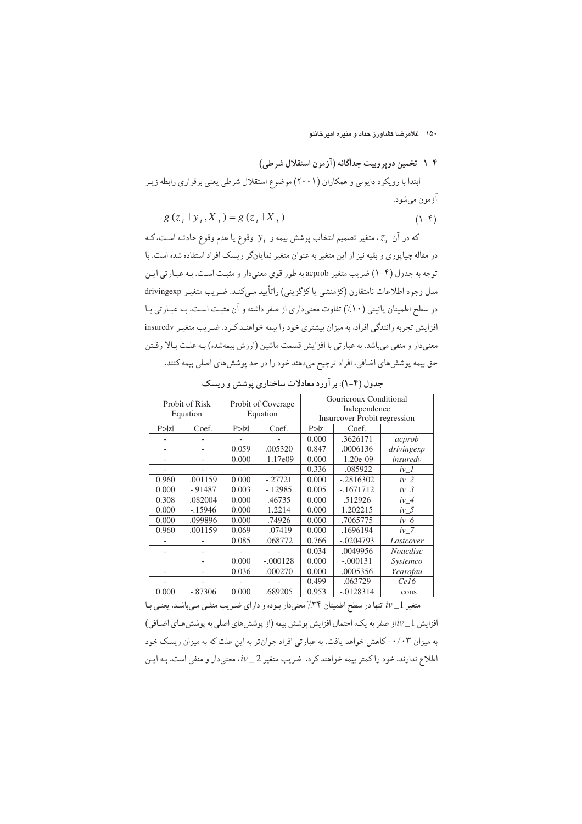۱۵۰ خلامرضا کشاورز حداد و منیره امیرخانلو

# ۴-۱- تخمین دویروبیت جداگانه (آزمون استقلال شرطی) ابتدا با رویکرد دایونی و همکاران (۲۰۰۱) موضوع استقلال شرطی یعنی برقراری رابطه زیـر آزمون مي شو د.

$$
g(z_i | y_i, X_i) = g(z_i | X_i)
$$
\n
$$
(1 - \mathfrak{f})
$$

که در آن  $z_i$ ، متغیر تصمیم انتخاب پوشش بیمه و  $y_i$  وقوع یا عدم وقوع حادثـه اسـت، کـه در مقاله چیاپوری و بقیه نیز از این متغیر به عنوان متغیر نمایانگر ریسک افراد استفاده شده است. با توجه به جدول (۴-۱) ضریب متغیر acprob به طور قوی معنی دار و مثبت است. بـه عبـارتی ایـن مدل وجود اطلاعات نامتقارن (كژمنشي يا كژگزيني) راتأييد ميكنـد. ضـريب متغيـر drivingexp در سطح اطمینان پائینی (۱۰٪) تفاوت معنیداری از صفر داشته و آن مثبت است. بـه عبـارتی بـا افزایش تجربه رانندگی افراد، به میزان بیشتری خود را بیمه خواهنـد کـرد. ضـریب متغیـر insuredv معنیدار و منفی میباشد، به عبارتی با افزایش قسمت ماشین (ارزش بیمهشده) بـه علـت بـالا رفـتن حق بیمه پوشش های اضافی، افراد ترجیح میدهند خود را در حد پوشش های اصلی بیمه کنند.

|        | Probit of Risk<br>Equation | Probit of Coverage<br>Equation |            | Gourieroux Conditional<br>Independence<br><b>Insurcover Probit regression</b> |              |            |
|--------|----------------------------|--------------------------------|------------|-------------------------------------------------------------------------------|--------------|------------|
| P >  Z | Coef.                      | P >  Z                         | Coef.      | P >  Z                                                                        | Coef.        |            |
|        |                            |                                |            | 0.000                                                                         | .3626171     | acprob     |
|        |                            | 0.059                          | .005320    | 0.847                                                                         | .0006136     | drivingexp |
|        |                            | 0.000                          | $-1.17e09$ | 0.000                                                                         | $-1.20e-09$  | insuredv   |
|        |                            |                                |            | 0.336                                                                         | $-.085922$   | $iv_l$     |
| 0.960  | .001159                    | 0.000                          | $-.27721$  | 0.000                                                                         | $-.2816302$  | $iv_2$     |
| 0.000  | $-0.91487$                 | 0.003                          | $-.12985$  | 0.005                                                                         | $-.1671712$  | $iv_3$     |
| 0.308  | .082004                    | 0.000                          | .46735     | 0.000                                                                         | .512926      | $iv_4$     |
| 0.000  | $-15946$                   | 0.000                          | 1.2214     | 0.000                                                                         | 1.202215     | $iv_5$     |
| 0.000  | .099896                    | 0.000                          | .74926     | 0.000                                                                         | .7065775     | $iv_6$     |
| 0.960  | .001159                    | 0.069                          | $-.07419$  | 0.000                                                                         | .1696194     | $iv_7$     |
|        |                            | 0.085                          | .068772    | 0.766                                                                         | $-.0204793$  | Lastcover  |
|        |                            |                                |            | 0.034                                                                         | .0049956     | Noacdisc   |
|        |                            | 0.000                          | $-.000128$ | 0.000                                                                         | $-.000131$   | Systemco   |
|        |                            | 0.036                          | .000270    | 0.000                                                                         | .0005356     | Yearofau   |
|        |                            |                                |            | 0.499                                                                         | .063729      | Cel6       |
| 0.000  | $-.87306$                  | 0.000                          | .689205    | 0.953                                                                         | $-0.0128314$ | cons       |

جدول (۴-۱): بر آورد معادلات ساختاری پوشش و ریسک

متغیر iv\_1 تنها در سطح اطمینان ۳۴٪ معنیدار بوده و دارای ضریب منفـی مـی.باشـد. یعنـی بـا افزایش 1\_1vاز صفر به یک، احتمال افزایش پوشش بیمه (از پوشش های اصلی به پوشش هـای اضـافی) به میزان ۰/۰۳–کاهش خواهد یافت. به عبارتی افراد جوانتر به این علت که به میزان ریسک خود اطلاع ندارند، خود راكمتر بيمه خواهندكرد. ضريب متغير 2\_iv، معنىدار و منفى است، بـه ايـن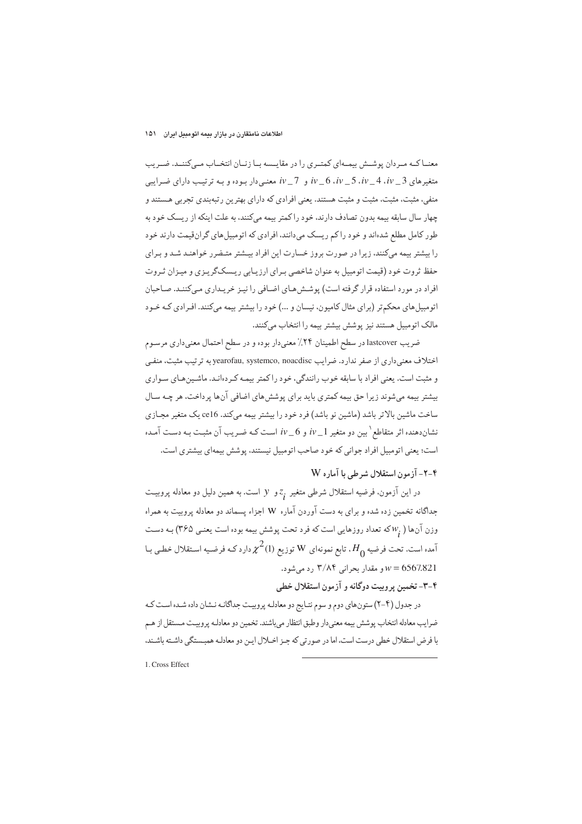#### اطلاعات نامتقارن در بازار بیمه اتومبیل ایران ۱۵۱

معنــاکــه مــردان پوشــش بيمــهاي کمتــري را در مقايــسه بــا زنــان انتخــاب مــي کننــد. ضــريب متغیرهای 3\_ ev\_6 .iv\_5 .iv\_4 .iv و 1\_ iv معنىدار بوده و بـه ترتیب دارای ضرایبی منفی، مثبت، مثبت، مثبت و مثبت هستند. یعنی افرادی که دارای بهترین رتبهبندی تجربی هستند و چهار سال سابقه بیمه بدون تصادف دارند، خود راکمتر بیمه میکنند، به علت اینکه از ریسک خود به طور کامل مطلع شدهاند و خود را کم ریسک می دانند، افرادی که اتومبیل های گران،قیمت دارند خود را بیشتر بیمه میکنند، زیرا در صورت بروز خسارت این افراد بیشتر متـضرر خواهنـد شـد و بـرای حفظ ثروت خود (قیمت اتومبیل به عنوان شاخصی بـرای ارزیـابی ریـسکگریـزی و میـزان ثـروت افراد در مورد استفاده قرار گرفته است) پوشش هـاي اضـافي را نيـز خريـداري مـيكننـد. صـاحبان اتومبیل های محکم تر (برای مثال کامیون، نیسان و ...) خود را بیشتر بیمه میکنند. افـرادی کـه خـود مالک اتومبیل هستند نیز پوشش بیشتر بیمه را انتخاب می کنند.

ضریب lastcover در سطح اطمینان ۲۴٪ معنیدار بوده و در سطح احتمال معنیداری مرسـوم اختلاف معنی داری از صفر ندارد. ضرایب yearofau, systemco, noacdisc به ترتیب مثبت، منفی و مثبت است. یعنی افراد با سابقه خوب رانندگی، خود را کمتر بیمه کردهانـد. ماشـینهای سـواری بیشتر بیمه میشوند زیرا حق بیمه کمتری باید برای پوشش های اضافی آنها پرداخت، هر چـه سـال ساخت ماشین بالاتر باشد (ماشین نو باشد) فرد خود را بیشتر بیمه می کند. ce16 یک متغیر مجـازی نشاندهنده اثر متقاطع <sup>(</sup>بین دو متغیر iv\_1 و iv\_6 است کـه ضـریب آن مثبـت بـه دسـت آمـده است؛ يعني اتومبيل افراد جواني كه خود صاحب اتومبيل نيستند، پوشش بيمهاي بيشتري است.

### ۴-۲- آزمون استقلال شرطی با آماره W

در این آزمون، فرضیه استقلال شرطی متغیر  $z_{\rm r}$  و  $\,$  است. به همین دلیل دو معادله پروبیـت جداگانه تخمین زده شده و برای به دست آوردن آماره W اجزاء پسماند دو معادله پروبیت به همراه وزن آنها (  $w$ که تعداد روزهایی است که فرد تحت پوشش بیمه بوده است یعنـی ۳۶۵) بـه دسـت آمده است. تحت فرضیه  $H^{}_{0}$ ، تابع نمونهای  $_{\rm W}$  توزیع (1) $\chi^2$  دارد کـه فرضـیه اسـتقلال خطـی بـا و مقدار بحرانی ۳/۸۴ رد میشود.  $w = 6567.821$ 

### ۴-۳- تخمین پروبیت دوگانه و آزمون استقلال خطی

در جدول (۴-۲) ستون های دوم و سوم نتـايج دو معادلـه پروييـت جداگانـه نـشان داده شـده اسـت كـه ضرايب معادله انتخاب پوشش بيمه معنىدار وطبق انتظار مىباشند. تخمين دو معادلـه پروييـت مـستقل از هـم با فرض استقلال خطي درست است، اما در صورتي كه جـز اخـلال ايـن دو معادلـه همبـستگي داشـته باشـند.

1. Cross Effect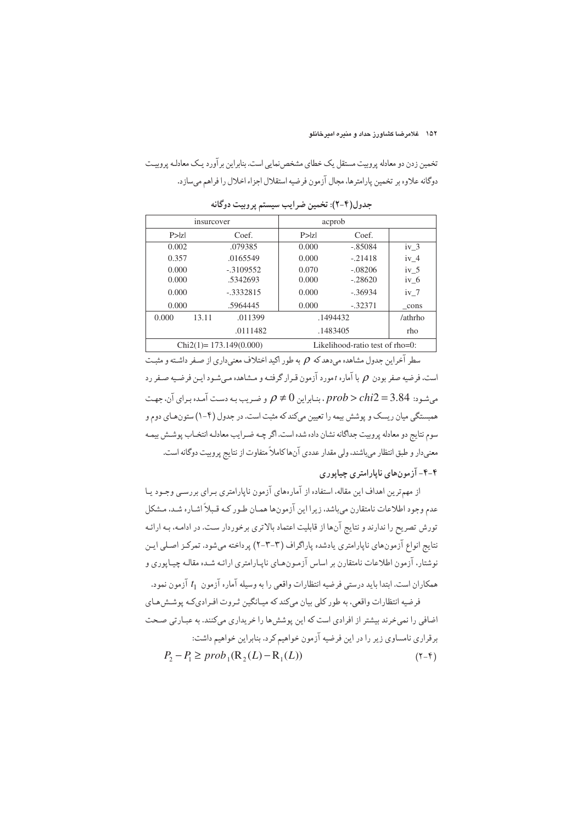تخمین زدن دو معادله پروییت مستقل یک خطای مشخص نمایی است. بنابراین برآورد یـک معادلـه پروییـت دوگانه علاوه بر تخمین پارامترها، مجال آزمون فرضیه استقلال اجزاء اخلال را فراهم میسازد.

| insurcover |                            |            | acprob   |                                    |                 |  |
|------------|----------------------------|------------|----------|------------------------------------|-----------------|--|
|            | P >  Z <br>Coef.           |            | P >  Z   | Coef.                              |                 |  |
| 0.002      |                            | .079385    | 0.000    | $-.85084$                          | iv <sub>3</sub> |  |
| 0.357      |                            | .0165549   | 0.000    | $-.21418$                          | iv <sub>4</sub> |  |
| 0.000      |                            | $-3109552$ | 0.070    | $-.08206$                          | iv <sub>5</sub> |  |
| 0.000      |                            | .5342693   | 0.000    | $-.28620$                          | $iv_6$          |  |
|            | 0.000<br>$-3332815$        |            | 0.000    | $-.36934$                          | $iv$ 7          |  |
| 0.000      |                            | .5964445   | 0.000    | $-.32371$                          | cons            |  |
| 0.000      | 13.11                      | .011399    | .1494432 |                                    | /athrho         |  |
|            |                            | .0111482   | .1483405 |                                    | rho             |  |
|            | $Chi2(1) = 173.149(0.000)$ |            |          | Likelihood-ratio test of $rho=0$ : |                 |  |

جدول(۴-۲): تخمین ضرایب سیستم پروبیت دوگانه

سطر آخراین حدول مشاهده مردهد که  $\rho$  به طور اکید اختلاف معنے داری از صفر داشته و مثبت است، فرضیه صفر بودن  $\rho$  با آماره t مورد آزمون قـرار گرفتـه و مـشاهده مـیشـود ایـن فرضـیه صـفر رد میشود: prob > chi2 = 3.84 . بنابراین  $\rho \neq 0$  و ضریب به دست آمده برای آن، جهت همبستگی میان ریسک و پوشش بیمه را تعیین میکند که مثبت است. در جدول (۴-۱) ستونهای دوم و سوم نتايج دو معادله پروبيت جداگانه نشان داده شده است. اگر چــه ضـرايب معادلـه انتخـاب پوشـش بيمـه معنیدار و طبق انتظار میباشند، ولی مقدار عددی آنها کاملاً متفاوت از نتایج پروبیت دوگانه است.

### ۴-۴- آزمونهای ناپارامتری چیاپوری

از مهہ ترین اهداف این مقاله، استفاده از آمارههای آزمون ناپارامتری برای پررسے وجبود پیا عدم وجود اطلاعات نامتقارن مىباشد، زيرا اين آزمونها همـان طـور كـه قـبلاً اشـاره شـد، مـشكل تورش تصریح را ندارند و نتایج آنها از قابلیت اعتماد بالاتری برخوردار ست. در ادامـه، بـه ارائـه نتايج انواع آزمونهاي ناپارامتري يادشده پاراگراف (٣-٣-٢) پرداخته مي شود. تمركـز اصـلي ايـن نوشتار، آزمون اطلاعات نامتقارن بر اساس آزمـونهـاي نايـارامتري ارائـه شـده مقالـه چيـايوري و همکاران است. ابتدا باید درستی فرضیه انتظارات واقعی را به وسیله آماره آزمون t<sub>1</sub> آزمون نمود.

فرضیه انتظارات واقعی، به طور کلی بیان میکند که میـانگین ثـروت افـرادی کـه پوشـش هـای اضافی را نمی خرند بیشتر از افرادی است که این پوشش ها را خریداری میکنند. به عبـارتی صـحت برقراري نامساوي زير را در اين فرضيه آزمون خواهيم كرد. بنابراين خواهيم داشت:

$$
P_2 - P_1 \ge prob_1(\mathbb{R}_2(L) - \mathbb{R}_1(L))
$$
\n
$$
(\mathbf{Y} - \mathbf{Y})
$$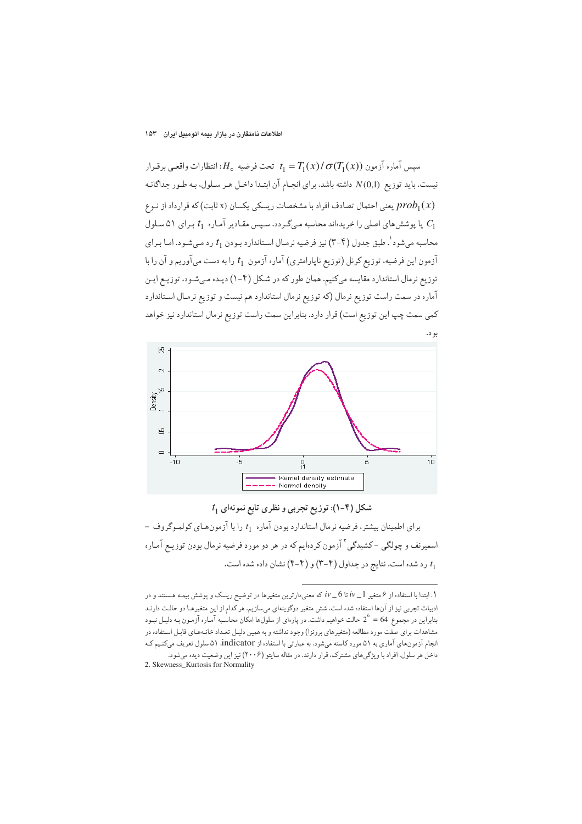سيس آماره آزمون  $\sigma(T_1(x))\sigma(T_1(x))$  تحت فرضيه  $H_\circ$ : انتظارات واقعى برقـرار نیست. باید توزیع (N(0,1 داشته باشد. برای انجـام آن ابتـدا داخـل هـر سـلول، بـه طـور جداگانـه یعنی احتمال تصادف افراد با مشخصات ریسکی یکسان (x ثابت) که قرارداد از نـوع  $prob_1(x)$ یا پوشش های اصلی را خریدهاند محاسبه میگردد. سپس مقادیر آماره  $t_1$  برای ۵۱ سلول  $C_1$ محاسبه میشود<sup>۱</sup>. طبق جدول (۴-۳) نیز فرضیه نرمـال اسـتاندارد بـودن <sub>1</sub>1 رد مـیشـود. امـا بـرای آزمون این فرضیه، توزیع کرنل (توزیع ناپارامتری) آماره آزمون  $t_1$  را به دست میآوریم و آن را با توزیع نرمال استاندارد مقایسه میكنیم. همان طور كه در شكل (۴-۱) دیـده مـیشـود، توزیـع ایـن آماره در سمت راست توزیع نرمال (که توزیع نرمال استاندارد هم نیست و توزیع نرمـال اسـتاندارد کمی سمت چپ این توزیع است) قرار دارد. بنابراین سمت راست توزیع نرمال استاندارد نیز خواهد





برای اطمینان بیشتر، فرضیه نرمال استاندارد بودن آماره 1<sub>1 ر</sub>ا با آزمون هـای کولمـوگروف – اسمیرنف و چولگی -کشیدگی <sup>۲</sup> آزمون کردهایم که در هر دو مورد فرضیه نرمال بودن توزیـع آمـاره رد شده است. نتایج در جداول (۴-۳) و (۴-۴) نشان داده شده است.

<sup>.</sup> ابتدا با استفاده از ۶ متغیر  $i\nu$  تا 6 \_ iv که معنیدارترین متغیرها در توضیح ریسک و پوشش بیمـه هـستند و در ادبیات تجربی نیز از آنها استفاده شده است. شش متغیر دوگزینهای میسازیم. هر کدام از این متغیرهـا دو حالـت دارنـد بنابراین در مجموع 64 = 2<sup>6</sup> حالت خواهیم داشت. در پارهای از سلولها امکان محاسبه آمـاره آزمـون بـه دلیـل نبـود مشاهدات برای صفت مورد مطالعه (متغیرهای برونزا) وجود نداشته و به همین دلیـل تعـداد خانـههـای قابـل اسـتفاده در انجام آزمونهای آماری به ۵۱ مورد کاسته میشود. به عبارتی با استفاده از indicator ۵۱ سلول تعریف میکنیم کـه داخل هر سلول، افراد با ویژگیهای مشترک، قرار دارند. در مقاله سایتو (۲۰۰۶) نیز این وضعیت دیده میشود. 2. Skewness\_Kurtosis for Normality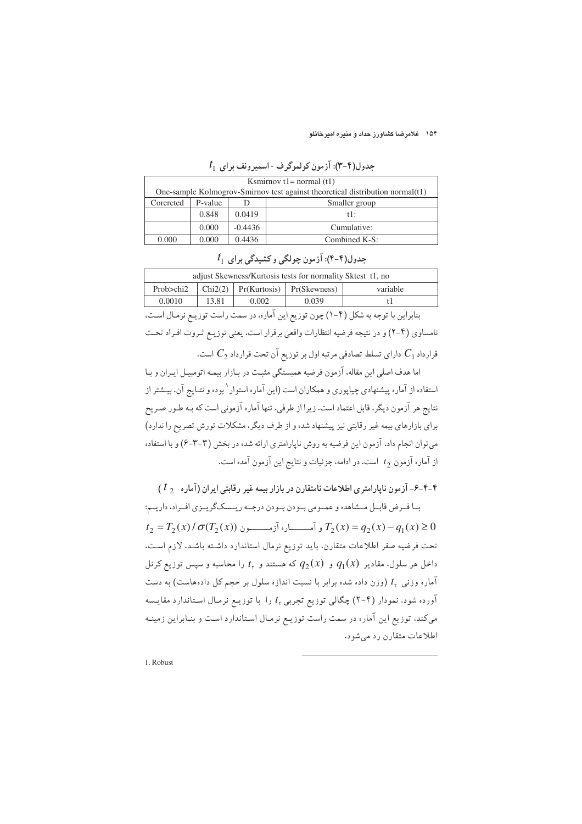۱۵۴ - غلامرضا کشاورز حداد و منبره امیرخانلو

| Ksmirnov $t = normal(t1)$                                                        |         |               |               |  |
|----------------------------------------------------------------------------------|---------|---------------|---------------|--|
| One-sample Kolmogrov-Smirnov test against theoretical distribution normal $(t1)$ |         |               |               |  |
| Corercted                                                                        | P-value | Smaller group |               |  |
|                                                                                  | 0.848   | 0.0419        | $t!$ :        |  |
|                                                                                  | 0.000   | $-0.4436$     | Cumulative:   |  |
| 0.000                                                                            | 0.000   | 0.4436        | Combined K-S: |  |

 $t_1$  جدول(۴-۳): آزمون کولموگرف - اسمیرونف برای

| adjust Skewness/Kurtosis tests for normality Sktest 11, no |         |       |                               |          |  |
|------------------------------------------------------------|---------|-------|-------------------------------|----------|--|
| Prob>chi2                                                  | Chi2(2) |       | $Pr(Kurtosis)$ $Pr(Skewness)$ | variable |  |
| 0.0010                                                     | 13.81   | 0.002 | 0.039                         |          |  |
|                                                            |         |       |                               |          |  |

 $t_{1+}$ حدول(۴-۴): آزمون چولگی و کشیدگی پر ای

بنابراین با توجه به شکل (۴–۱) چون توزیع این آماره، در سمت راست توزیـع نرمـال اسـت، نامساوی (۴–۲) و در نتیجه فرضیه انتظارات واقعی برقرار است، یعنی توزیـع ثـروت افـراد تحـت قرارداد  $C_1$  دارای تسلط تصادفی مرتبه اول بر توزیع آن تحت قرارداد  $C_2$  است.

اما هدف اصلي اين مقاله، آزمون فرضيه همبستگي مثبت در بـازار بيمـه اتومبيـل ايـران و بـا استفاده از آماره پیشنهادی چیاپوری و همکاران است (این آماره استوار ٰ بوده و نتـایج آن، بیـشتر از نتایج هر آزمون دیگر، قابل اعتماد است. زیرا از طرفی، تنها آماره آزمونی است که بـه طـور صـریح برای بازارهای بیمه غیر رقابتی نیز پیشنهاد شده و از طرف دیگر، مشکلات تورش تصریح را ندارد) می توان انجام داد، آزمون این فرضیه به روش ناپارامتری ارائه شده در بخش (۳-۳-۶) و با استفاده از آماره آزمون  $t_2$  است. در ادامه، جزئیات و نتایج این آزمون آمده است.

۴-۴-۶- آزمون نابارامتری اطلاعات نامتقارن در بازار بیمه غیر رقابتی ایران (آماره  $t$  )

بـا فـرض قابـل مـشاهده و عمـومي بـودن بـودن درجـه ريــسكگريـزي افـراد، داريـم:  $t_2 = T_2(x)/\sigma(T_2(x))$  و آمــــــــــاره آزمــــــــــون  $T_2(x) = q_2(x) - q_1(x) \ge 0$ تحت فرضيه صفر اطلاعات متقارن، بايد توزيع نرمال استاندارد داشته باشـد. لازم اسـت. داخل هر سلول، مقادیر  $q_1(x)$  و  $q_2(x)$  که هستند و  $t_{\rm v}$  را محاسبه و سیس توزیع کرنل آماره وزنبی t, (وزن داده شده برابر با نسبت اندازه سلول بر حجم کل دادههاست) به دست آورده شود. نمودار (۴–۲) چگالی توزیع تجربی  $t_{\rm v}$  را با توزیـع نرمـال اسـتاندارد مقایـسه میکند، توزیع این آماره در سمت راست توزیـع نرمـال اسـتاندارد اسـت و بنـابراین زمینـه اطلاعات متقارن رد می شود.

1. Robust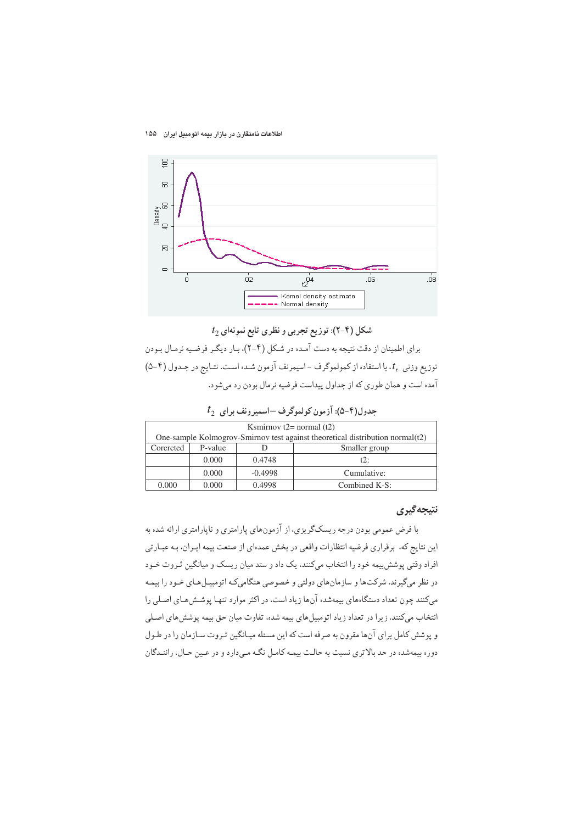#### اطلاعات نامتقارن در بازار بیمه اتومبیل ایران ۱۵۵



 $t_2$  شکل (۴-۲): توزیع تجربی و نظری تابع نمونهای

برای اطمینان از دقت نتیجه به دست آمـده در شـکل (۴-۲)، بـار دیگـر فرضـیه نرمـال بـودن توزیع وزنی پا، با استفاده از کمولموگرف -اسیمرنف آزمون شـده اسـت. نتـایج در جـدول (۴-۵) آمده است و همان طوري كه از جداول پيداست فرضيه نرمال بودن رد مي شود.

 $t_{2-}$ جدول(۴-۵): آزمون کولموگرف –اسمیرونف برای

| Ksmirnov $t2$ = normal $(t2)$                                                 |                          |           |               |  |
|-------------------------------------------------------------------------------|--------------------------|-----------|---------------|--|
| One-sample Kolmogrov-Smirnov test against theoretical distribution normal(t2) |                          |           |               |  |
| Corercted                                                                     | P-value<br>Smaller group |           |               |  |
|                                                                               | 0.000                    | 0.4748    | 12:           |  |
|                                                                               | 0.000                    | $-0.4998$ | Cumulative:   |  |
| 0.000                                                                         | 0.000                    | 0.4998    | Combined K-S: |  |

#### نتيجه گيري

با فرض عمومی بودن درجه ریسکگریزی، از آزمونهای پارامتری و ناپارامتری ارائه شده به این نتایج که، برقراری فرضیه انتظارات واقعی در بخش عمدهای از صنعت بیمه ایـران، بـه عبـارتی افراد وقتی پوشش بیمه خود را انتخاب میکنند، یک داد و ستد میان ریسک و میانگین ثـروت خـود در نظر میگیرند. شرکتها و سازمانهای دولتی و خصوصی هنگامیکه اتومبیـلهـای خـود را بیمـه میکنند چون تعداد دستگاههای بیمهشده آنها زیاد است، در اکثر موارد تنها پوشش هـای اصـلی را انتخاب میکنند. زیرا در تعداد زیاد اتومبیل های بیمه شده، تفاوت میان حق بیمه پوشش های اصلی و پوشش کامل برای آنها مقرون به صرفه است که این مسئله میـانگین ثـروت سـازمان را در طـول دوره بیمهشده در حد بالاتری نسبت به حالت بیمه کامل نگـه مـیدارد و در عـین حـال، راننـدگان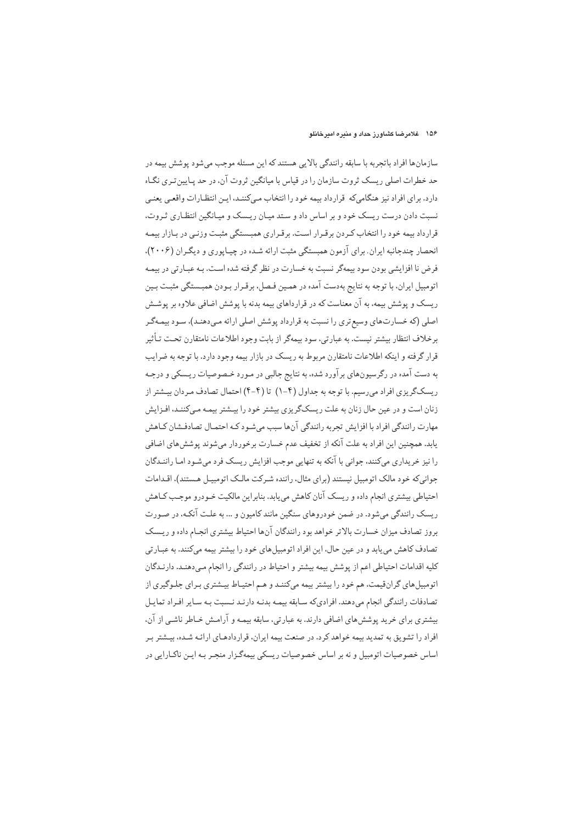سازمانها افراد باتجربه با سابقه رانندگی بالایی هستند که این مسئله موجب میشود پوشش بیمه در حد خطرات اصلی ریسک ثروت سازمان را در قیاس با میانگین ثروت آن، در حد پـایین تـری نگـاه دارد. براي افراد نيز هنگاميكه قرارداد بيمه خود را انتخاب ميكننـد، ايـن انتظـارات واقعـي يعنـي نسبت دادن درست ریسک خود و بر اساس داد و ستد میـان ریـسک و میـانگین انتظـاری ثـروت، قرارداد بیمه خود را انتخاب کـردن برقـرار اسـت. برقـراری همبـستگی مثبـت وزنـی در بـازار بیمـه انحصار چندجانبه ایران. برای آزمون همبستگی مثبت ارائه شده در چیاپوری و دیگران (۲۰۰۶)، فرض نا افزایشی بودن سود بیمهگر نسبت به خسارت در نظر گرفته شده است. بـه عبـارتی در بیمـه اتومبیل ایران، با توجه به نتایج بهدست آمده در همین فیصل، برقبرار ببودن همبستگی مثبت بین ریسک و پوشش بیمه، به آن معناست که در قرارداهای بیمه بدنه با پوشش اضافی علاوه بر پوشش اصلي (كه خسارتهاي وسيع تري را نسبت به قرارداد پوشش اصلي ارائه مي دهنـد)، سـود بيمـهگـر برخلاف انتظار بیشتر نیست. به عبارتی، سود بیمهگر از بابت وجود اطلاعات نامتقارن تحت تـأثیر قرار گرفته و اینکه اطلاعات نامتقارن مربوط به ریسک در بازار بیمه وجود دارد. با توجه به ضرایب به دست آمده در رگرسیونهای برآورد شده، به نتایج جالبی در مـورد خـصوصیات ریـسکی و درجـه ریسکگریزی افراد می رسیم. با توجه به جداول (۴-۱) تا (۴-۴) احتمال تصادف مردان بیشتر از زنان است و در عین حال زنان به علت ریسکگریزی بیشتر خود را بیـشتر بیمـه مـی)کننـد، افـزایش مهارت رانندگی افراد با افزایش تجربه رانندگی آنها سبب میشود کـه احتمـال تصادفـشان کـاهش یابد. همچنین این افراد به علت آنکه از تخفیف عدم خسارت برخوردار میشوند پوشش های اضافی را نیز خریداری میکنند، جوانی با آنکه به تنهایی موجب افزایش ریسک فرد میشود امـا راننـدگان جوانی که خود مالک اتومبیل نیستند (برای مثال، راننده شرکت مالک اتومبیـل هـستند)، اقـدامات احتیاطی بیشتری انجام داده و ریسک آنان کاهش می پابد. بنابراین مالکیت خـودرو موجـب کـاهش ریسک رانندگی می شود. در ضمن خودروهای سنگین مانند کامیون و … به علت آنکـه، در صـورت بروز تصادف میزان خسارت بالاتر خواهد بود رانندگان آنها احتیاط بیشتری انجـام داده و ریـسک تصادف کاهش می یابد و در عین حال، این افراد اتومبیلهای خود را بیشتر بیمه میکنند. به عبـارتی کلیه اقدامات احتیاطی اعم از پوشش بیمه بیشتر و احتیاط در رانندگی را انجام می دهنـد. دارنـدگان اتومبیل های گران قیمت، هم خود را بیشتر بیمه میکننـد و هـم احتیـاط بیـشتری بـرای جلـوگیری از تصادفات رانندگی انجام میدهند. افرادیکه سابقه بیمه بدنـه دارنـد نـسبت بـه سـایر افـراد تمایـل بیشتری برای خرید پوشش های اضافی دارند. به عبارتی، سابقه بیمـه و آرامـش خـاطر ناشـی از آن، افراد را تشویق به تمدید بیمه خواهد کرد. در صنعت بیمه ایران، قراردادهـای ارائـه شـده، بیـشتر بـر اساس خصوصیات اتومبیل و نه بر اساس خصوصیات ریسکی بیمهگـزار منجـر بـه ایـن ناکـارایی در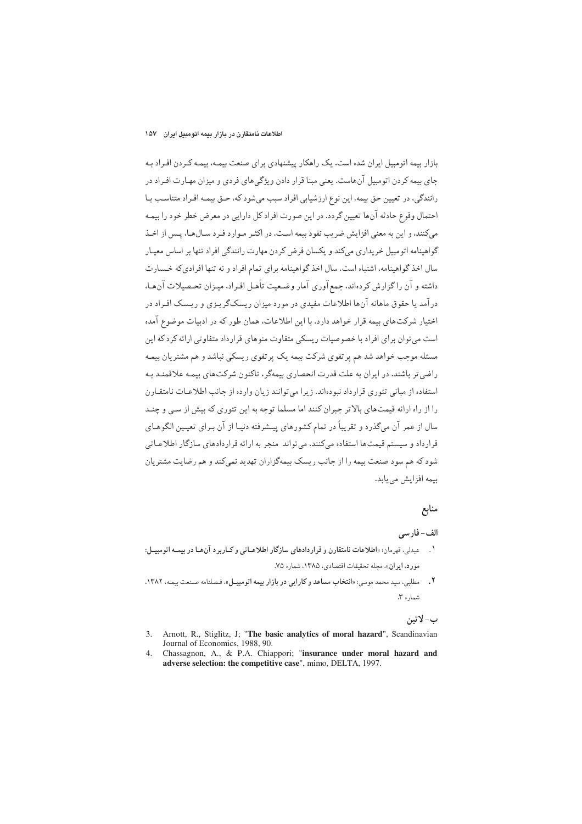بازار بیمه اتومبیل ایران شده است. یک راهکار پیشنهادی برای صنعت بیمـه، بیمـه کـردن افـراد بـه جای بیمه کردن اتومبیل آنهاست. یعنی مبنا قرار دادن و پژگی های فردی و میزان مهـارت افـراد در رانندگی، در تعیین حق بیمه. این نوع ارزشیابی افراد سبب میشود که، حـق بیمـه افـراد متناسـب بـا احتمال وقوع حادثه آنها تعيين گردد. در اين صورت افراد كل دارايي در معرض خطر خود را بيمه می کنند، و این به معنی افزایش ضریب نفوذ بیمه است. در اکثـر مـوارد فـرد سـالهـا، پـس از اخـذ گواهینامه اتومبیل خریداری میکند و یکسان فرض کردن مهارت رانندگی افراد تنها بر اساس معیـار سال اخذ گواهینامه، اشتباه است. سال اخذ گواهینامه برای تمام افراد و نه تنها افرادی که خـسارت داشته و آن راگزارش کردهاند، جمع آوری آمار وضعیت تأهـل افـراد، میـزان تحـصیلات آن.هـا، درآمد یا حقوق ماهانه آنها اطلاعات مفیدی در مورد میزان ریسکگر پـزی و ریـسک افـراد در اختبار شرکتهای بیمه قرار خواهد دارد. با این اطلاعات، همان طور که در ادبیات موضوع آمده است می توان برای افراد با خصوصیات ریسکی متفاوت منوهای قرار داد متفاوتی ارائه کرد که این مسئله موجب خواهد شد هم پرتفوي شركت بيمه يک پرتفوي ريسكي نباشد و هم مشتريان بيمـه راضی تر باشند. در ایران به علت قدرت انحصاری بیمهگر، تاکنون شرکتهای بیمیه علاقمنید بیه استفاده از مبانی تئوری قرار داد نبودهاند. زیرا مه توانند زیان وارده از جانب اطلاعیات نامتقیارن را از راه ارائه قیمتهای بالا تر جبران کنند اما مسلما توجه به این تئوری که بیش از سے و چنید سال از عمر آن میگذرد و تقریباً در تمام کشورهای پیـشرفته دنیـا از آن بـرای تعیـین الگوهـای قرارداد و سیستم قیمتها استفاده میکنند، می تواند منجر به ارائه قراردادهای سازگار اطلاعـاتی شود که هم سود صنعت بیمه را از جانب ریسک بیمهگزاران تهدید نمیکند و هم رضایت مشتریان بيمه افزايش مي يابد.

# منابع

### الف-فارسي

- عبدلي، قهرمان؛ «اطلاعات نامتقارن و قراردادهاي سازگار اطلاعـاتي و كـاربرد آن هـا در بيمـه اتومبيـل:  $\mathcal{L}$ مورد، ایران»، مجله تحقیقات اقتصادی، ۱۳۸۵، شماره ۷۵.
- مطلبي، سيد محمد موسى: «انتخاب مساعد وكارايي در بازار بيمه اتومبيـل»، فـصلنامه صـنعت بيمـه، ١٣٨٢.  $\cdot$  ,  $\overline{\cdot}$ شماره ۳.

### ب- لاتين

- Arnott, R., Stiglitz, J; "The basic analytics of moral hazard", Scandinavian 3. Journal of Economics, 1988, 90.
- Chassagnon, A., & P.A. Chiappori; "insurance under moral hazard and  $\mathbf{\Delta}$ adverse selection: the competitive case", mimo, DELTA, 1997.